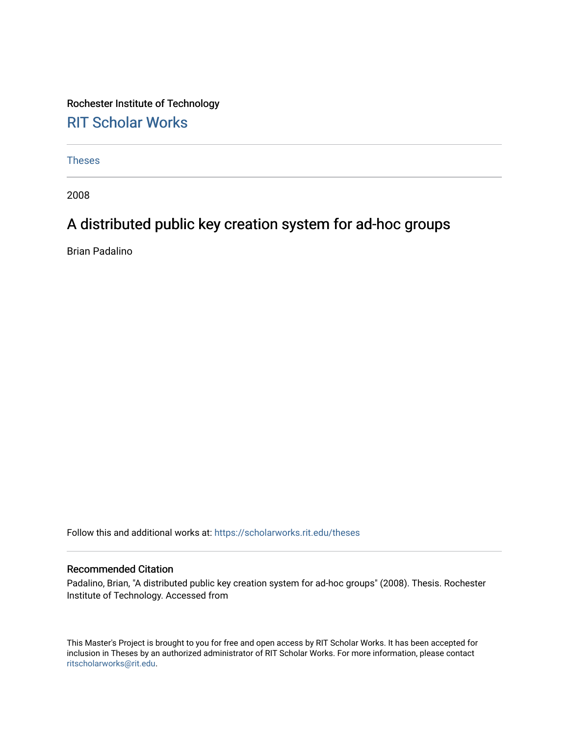Rochester Institute of Technology [RIT Scholar Works](https://scholarworks.rit.edu/)

[Theses](https://scholarworks.rit.edu/theses) 

2008

## A distributed public key creation system for ad-hoc groups

Brian Padalino

Follow this and additional works at: [https://scholarworks.rit.edu/theses](https://scholarworks.rit.edu/theses?utm_source=scholarworks.rit.edu%2Ftheses%2F6934&utm_medium=PDF&utm_campaign=PDFCoverPages) 

### Recommended Citation

Padalino, Brian, "A distributed public key creation system for ad-hoc groups" (2008). Thesis. Rochester Institute of Technology. Accessed from

This Master's Project is brought to you for free and open access by RIT Scholar Works. It has been accepted for inclusion in Theses by an authorized administrator of RIT Scholar Works. For more information, please contact [ritscholarworks@rit.edu](mailto:ritscholarworks@rit.edu).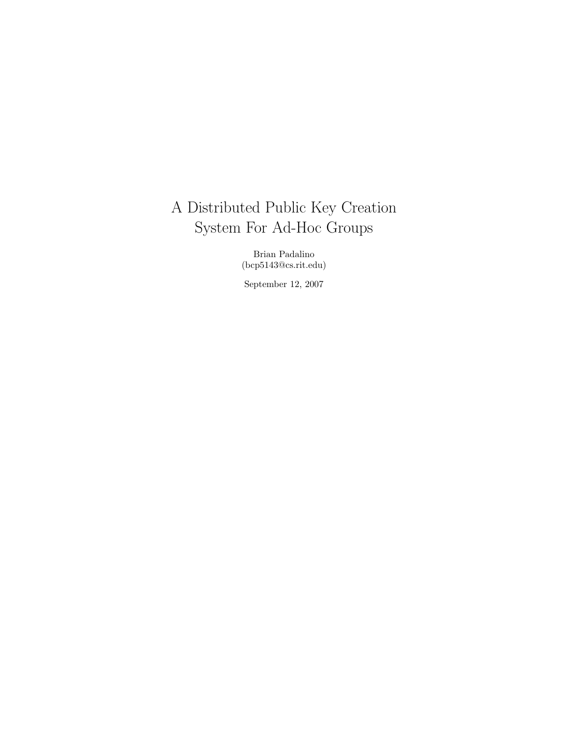# A Distributed Public Key Creation System For Ad-Hoc Groups

Brian Padalino (bcp5143@cs.rit.edu)

September 12, 2007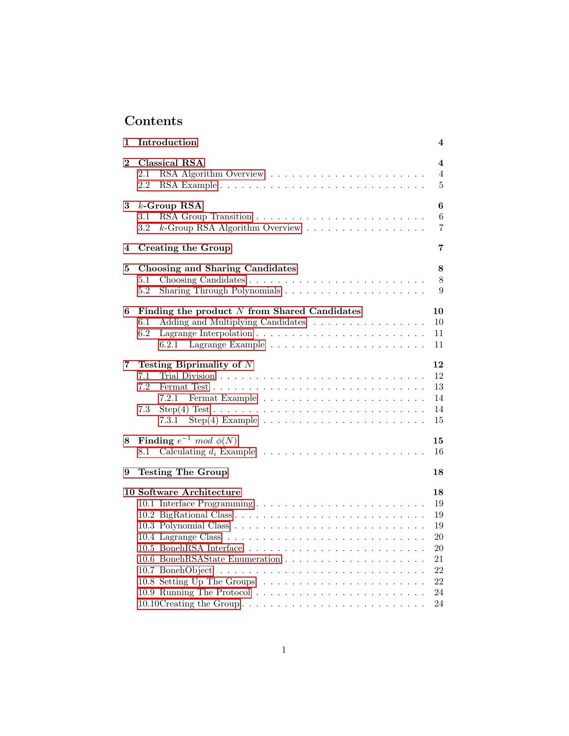## Contents

| Introduction                                                                                                                                                                                                                               | 4                                                              |
|--------------------------------------------------------------------------------------------------------------------------------------------------------------------------------------------------------------------------------------------|----------------------------------------------------------------|
| Classical RSA<br>2.1<br>2.2                                                                                                                                                                                                                | 4<br>$\overline{4}$<br>$\bf 5$                                 |
| $k$ -Group RSA<br>$3.1\,$<br>$k$ -Group RSA Algorithm Overview<br>3.2                                                                                                                                                                      | 6<br>6<br>$\overline{7}$                                       |
| <b>Creating the Group</b>                                                                                                                                                                                                                  | 7                                                              |
| Choosing and Sharing Candidates<br>5.1<br>5.2                                                                                                                                                                                              | 8<br>8<br>9                                                    |
| Finding the product $N$ from Shared Candidates<br>Adding and Multiplying Candidates<br>$6.1\,$<br>6.2<br>6.2.1                                                                                                                             | 10<br>10<br>11<br>11                                           |
| Testing Biprimality of $N$<br>7.1<br>7.2<br>7.2.1<br>7.3<br>$Step(4) Test \dots \dots \dots \dots \dots \dots \dots \dots \dots \dots \dots \dots$<br>$Step(4)$ Example $\ldots \ldots \ldots \ldots \ldots \ldots \ldots \ldots$<br>7.3.1 | 12<br>12<br>13<br>14<br>14<br>15                               |
| Finding $e^{-1} \mod \phi(N)$<br>8.1                                                                                                                                                                                                       | 15<br>16                                                       |
| <b>Testing The Group</b>                                                                                                                                                                                                                   | 18                                                             |
| 10 Software Architecture                                                                                                                                                                                                                   | 18<br>19<br>19<br>19<br>20<br>20<br>21<br>22<br>22<br>24<br>24 |
|                                                                                                                                                                                                                                            | 10.10Creating the Group                                        |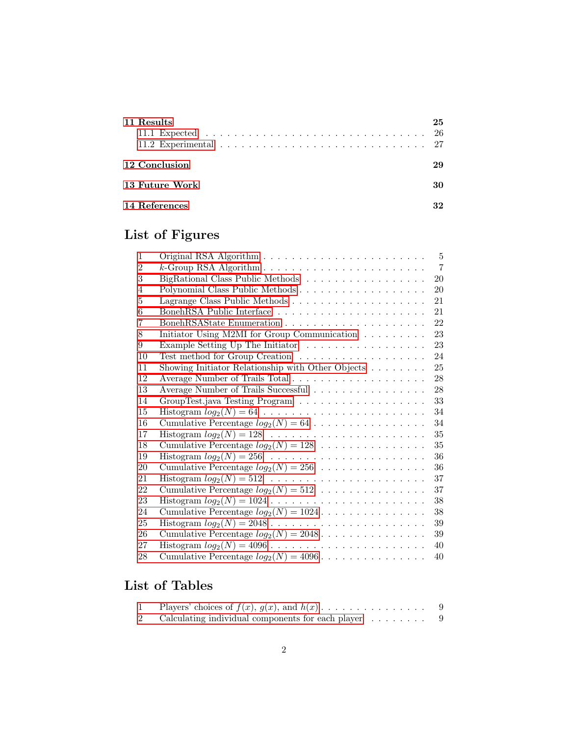| 11 Results                                                                                          | 25 |
|-----------------------------------------------------------------------------------------------------|----|
|                                                                                                     |    |
| 11.2 Experimental $\ldots \ldots \ldots \ldots \ldots \ldots \ldots \ldots \ldots \ldots \ldots 27$ |    |
| 12 Conclusion                                                                                       | 29 |
| <b>13 Future Work</b>                                                                               | 30 |
| 14 References                                                                                       |    |

# List of Figures

| $\mathbf{1}$   | 5                                                                       |
|----------------|-------------------------------------------------------------------------|
| $\overline{2}$ | $\overline{7}$                                                          |
| 3              | 20<br>BigRational Class Public Methods                                  |
| 4              | 20                                                                      |
| 5              | 21                                                                      |
| 6              | 21                                                                      |
| 7              | 22                                                                      |
| 8              | Initiator Using M2MI for Group Communication<br>23                      |
| 9              | 23<br>Example Setting Up The Initiator                                  |
| 10             | 24                                                                      |
| 11             | Showing Initiator Relationship with Other Objects $\ldots \ldots$<br>25 |
| 12             | 28<br>Average Number of Trails Total                                    |
| 13             | Average Number of Trails Successful<br>28                               |
| 14             | 33                                                                      |
| 15             | 34                                                                      |
| 16             | 34                                                                      |
| 17             | 35                                                                      |
| 18             | $35\,$                                                                  |
| 19             | 36                                                                      |
| 20             | 36                                                                      |
| 21             | 37                                                                      |
| 22             | 37                                                                      |
| 23             | 38                                                                      |
| 24             | 38                                                                      |
| 25             | 39                                                                      |
| 26             | Cumulative Percentage $log_2(N) = 2048$<br>39                           |
| 27             | 40                                                                      |
| 28             | Cumulative Percentage $log_2(N) = 4096$<br>40                           |

## List of Tables

| Players' choices of $f(x)$ , $g(x)$ , and $h(x)$  |  |
|---------------------------------------------------|--|
| Calculating individual components for each player |  |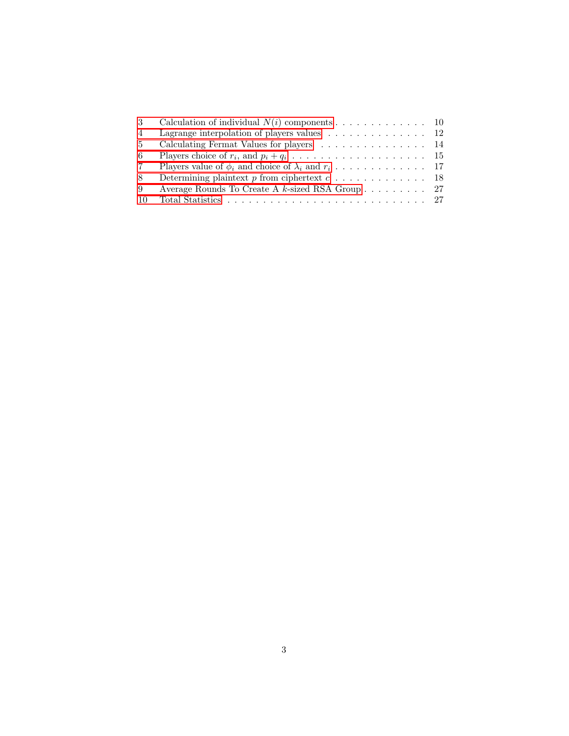| 3   | Calculation of individual $N(i)$ components 10                                    |  |
|-----|-----------------------------------------------------------------------------------|--|
| 4   | Lagrange interpolation of players values $\ldots \ldots \ldots \ldots \ldots 12$  |  |
| -5  | Calculating Fermat Values for players 14                                          |  |
| -6  |                                                                                   |  |
| -7  |                                                                                   |  |
| -8  | Determining plaintext p from ciphertext $c \ldots \ldots \ldots \ldots \ldots 18$ |  |
| -9  | Average Rounds To Create A $k$ -sized RSA Group 27                                |  |
| -10 |                                                                                   |  |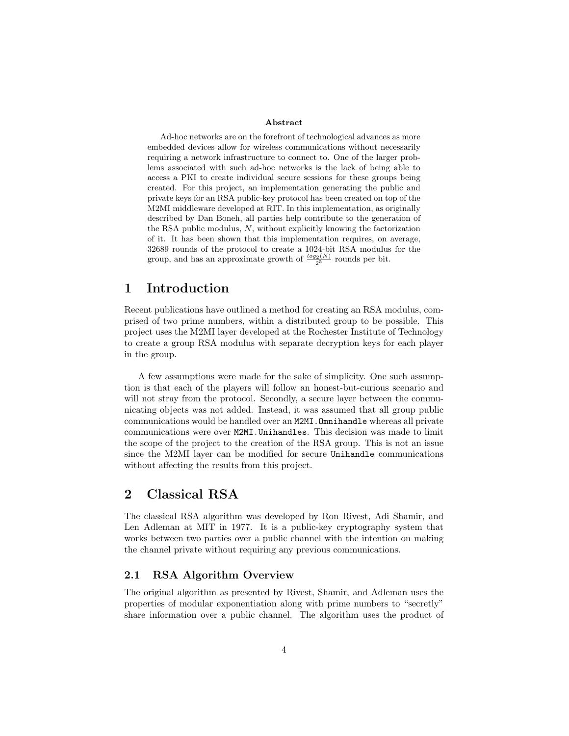#### Abstract

Ad-hoc networks are on the forefront of technological advances as more embedded devices allow for wireless communications without necessarily requiring a network infrastructure to connect to. One of the larger problems associated with such ad-hoc networks is the lack of being able to access a PKI to create individual secure sessions for these groups being created. For this project, an implementation generating the public and private keys for an RSA public-key protocol has been created on top of the M2MI middleware developed at RIT. In this implementation, as originally described by Dan Boneh, all parties help contribute to the generation of the RSA public modulus,  $N$ , without explicitly knowing the factorization of it. It has been shown that this implementation requires, on average, 32689 rounds of the protocol to create a 1024-bit RSA modulus for the group, and has an approximate growth of  $\frac{log_2(N)}{2^5}$  rounds per bit.

## <span id="page-5-0"></span>1 Introduction

Recent publications have outlined a method for creating an RSA modulus, comprised of two prime numbers, within a distributed group to be possible. This project uses the M2MI layer developed at the Rochester Institute of Technology to create a group RSA modulus with separate decryption keys for each player in the group.

A few assumptions were made for the sake of simplicity. One such assumption is that each of the players will follow an honest-but-curious scenario and will not stray from the protocol. Secondly, a secure layer between the communicating objects was not added. Instead, it was assumed that all group public communications would be handled over an M2MI.Omnihandle whereas all private communications were over M2MI.Unihandles. This decision was made to limit the scope of the project to the creation of the RSA group. This is not an issue since the M2MI layer can be modified for secure Unihandle communications without affecting the results from this project.

## <span id="page-5-1"></span>2 Classical RSA

The classical RSA algorithm was developed by Ron Rivest, Adi Shamir, and Len Adleman at MIT in 1977. It is a public-key cryptography system that works between two parties over a public channel with the intention on making the channel private without requiring any previous communications.

### <span id="page-5-2"></span>2.1 RSA Algorithm Overview

The original algorithm as presented by Rivest, Shamir, and Adleman uses the properties of modular exponentiation along with prime numbers to "secretly" share information over a public channel. The algorithm uses the product of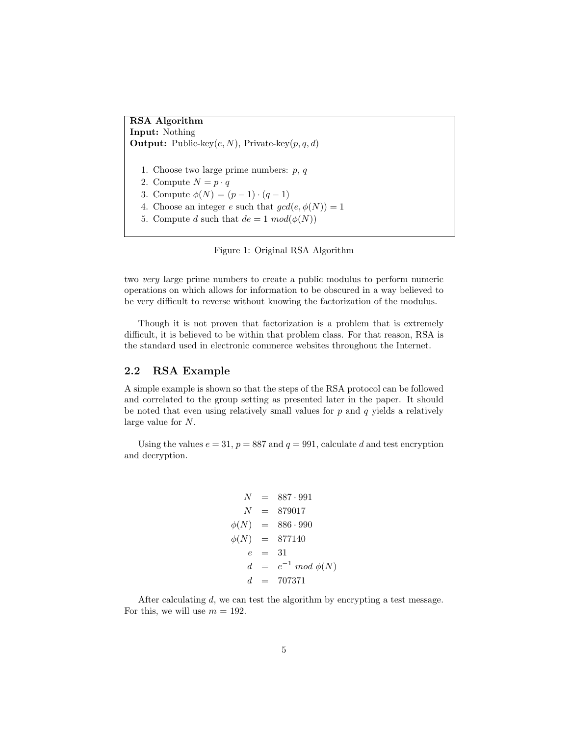RSA Algorithm Input: Nothing **Output:** Public-key $(e, N)$ , Private-key $(p, q, d)$ 1. Choose two large prime numbers: p, q 2. Compute  $N = p \cdot q$ 3. Compute  $\phi(N) = (p-1) \cdot (q-1)$ 4. Choose an integer e such that  $gcd(e, \phi(N)) = 1$ 

5. Compute d such that  $de = 1 \mod(\phi(N))$ 

<span id="page-6-1"></span>Figure 1: Original RSA Algorithm

two very large prime numbers to create a public modulus to perform numeric operations on which allows for information to be obscured in a way believed to be very difficult to reverse without knowing the factorization of the modulus.

Though it is not proven that factorization is a problem that is extremely difficult, it is believed to be within that problem class. For that reason, RSA is the standard used in electronic commerce websites throughout the Internet.

#### <span id="page-6-0"></span>2.2 RSA Example

A simple example is shown so that the steps of the RSA protocol can be followed and correlated to the group setting as presented later in the paper. It should be noted that even using relatively small values for  $p$  and  $q$  yields a relatively large value for N.

Using the values  $e = 31$ ,  $p = 887$  and  $q = 991$ , calculate d and test encryption and decryption.

$$
N = 887 \cdot 991
$$
  
\n
$$
N = 879017
$$
  
\n
$$
\phi(N) = 886 \cdot 990
$$
  
\n
$$
\phi(N) = 877140
$$
  
\n
$$
e = 31
$$
  
\n
$$
d = e^{-1} \mod \phi(N)
$$
  
\n
$$
d = 707371
$$

After calculating d, we can test the algorithm by encrypting a test message. For this, we will use  $m = 192$ .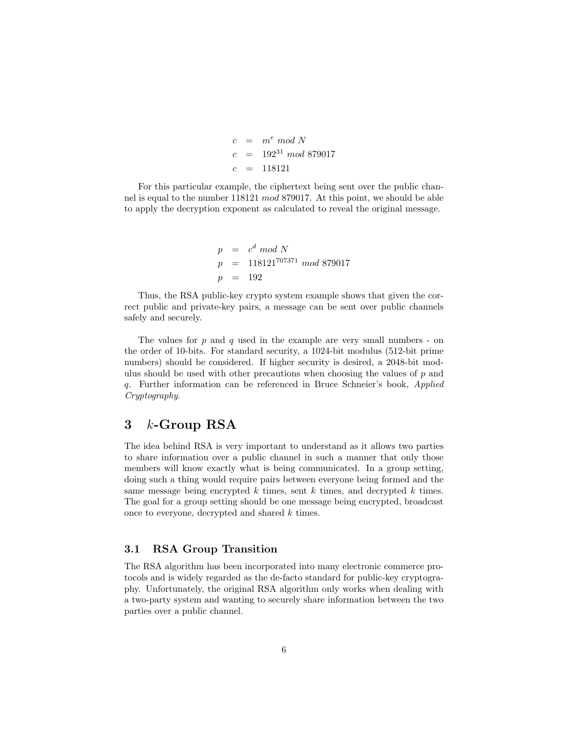$c = m^e \mod N$  $c = 192^{31} \mod 879017$  $c = 118121$ 

For this particular example, the ciphertext being sent over the public channel is equal to the number 118121 mod 879017. At this point, we should be able to apply the decryption exponent as calculated to reveal the original message.

> $p = c^d \mod N$  $p = 118121^{707371} \mod 879017$  $p = 192$

Thus, the RSA public-key crypto system example shows that given the correct public and private-key pairs, a message can be sent over public channels safely and securely.

The values for  $p$  and  $q$  used in the example are very small numbers - on the order of 10-bits. For standard security, a 1024-bit modulus (512-bit prime numbers) should be considered. If higher security is desired, a 2048-bit modulus should be used with other precautions when choosing the values of  $p$  and q. Further information can be referenced in Bruce Schneier's book, Applied Cryptography.

## <span id="page-7-0"></span>3 k-Group RSA

The idea behind RSA is very important to understand as it allows two parties to share information over a public channel in such a manner that only those members will know exactly what is being communicated. In a group setting, doing such a thing would require pairs between everyone being formed and the same message being encrypted k times, sent k times, and decrypted k times. The goal for a group setting should be one message being encrypted, broadcast once to everyone, decrypted and shared k times.

### <span id="page-7-1"></span>3.1 RSA Group Transition

The RSA algorithm has been incorporated into many electronic commerce protocols and is widely regarded as the de-facto standard for public-key cryptography. Unfortunately, the original RSA algorithm only works when dealing with a two-party system and wanting to securely share information between the two parties over a public channel.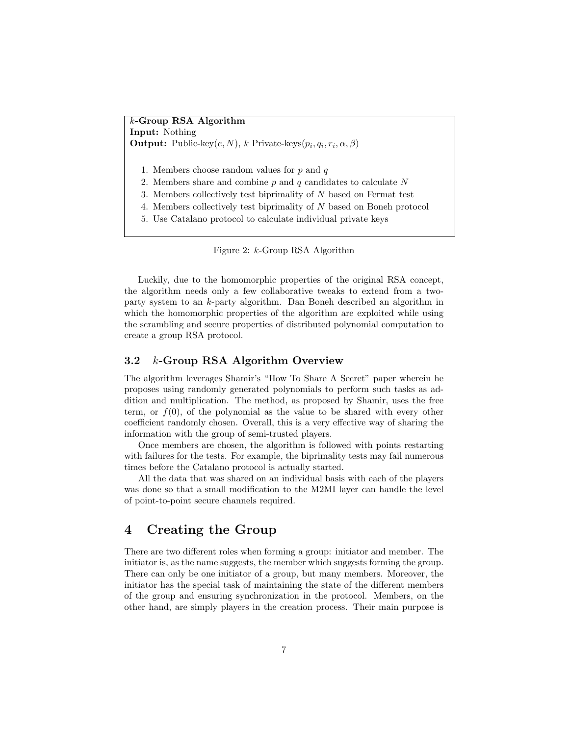k-Group RSA Algorithm Input: Nothing **Output:** Public-key $(e, N)$ , k Private-keys $(p_i, q_i, r_i, \alpha, \beta)$ 

- 1. Members choose random values for  $p$  and  $q$
- 2. Members share and combine  $p$  and  $q$  candidates to calculate  $N$
- 3. Members collectively test biprimality of N based on Fermat test
- 4. Members collectively test biprimality of N based on Boneh protocol
- 5. Use Catalano protocol to calculate individual private keys

<span id="page-8-2"></span>Figure 2: k-Group RSA Algorithm

Luckily, due to the homomorphic properties of the original RSA concept, the algorithm needs only a few collaborative tweaks to extend from a twoparty system to an k-party algorithm. Dan Boneh described an algorithm in which the homomorphic properties of the algorithm are exploited while using the scrambling and secure properties of distributed polynomial computation to create a group RSA protocol.

### <span id="page-8-0"></span>3.2 k-Group RSA Algorithm Overview

The algorithm leverages Shamir's "How To Share A Secret" paper wherein he proposes using randomly generated polynomials to perform such tasks as addition and multiplication. The method, as proposed by Shamir, uses the free term, or  $f(0)$ , of the polynomial as the value to be shared with every other coefficient randomly chosen. Overall, this is a very effective way of sharing the information with the group of semi-trusted players.

Once members are chosen, the algorithm is followed with points restarting with failures for the tests. For example, the biprimality tests may fail numerous times before the Catalano protocol is actually started.

All the data that was shared on an individual basis with each of the players was done so that a small modification to the M2MI layer can handle the level of point-to-point secure channels required.

## <span id="page-8-1"></span>4 Creating the Group

There are two different roles when forming a group: initiator and member. The initiator is, as the name suggests, the member which suggests forming the group. There can only be one initiator of a group, but many members. Moreover, the initiator has the special task of maintaining the state of the different members of the group and ensuring synchronization in the protocol. Members, on the other hand, are simply players in the creation process. Their main purpose is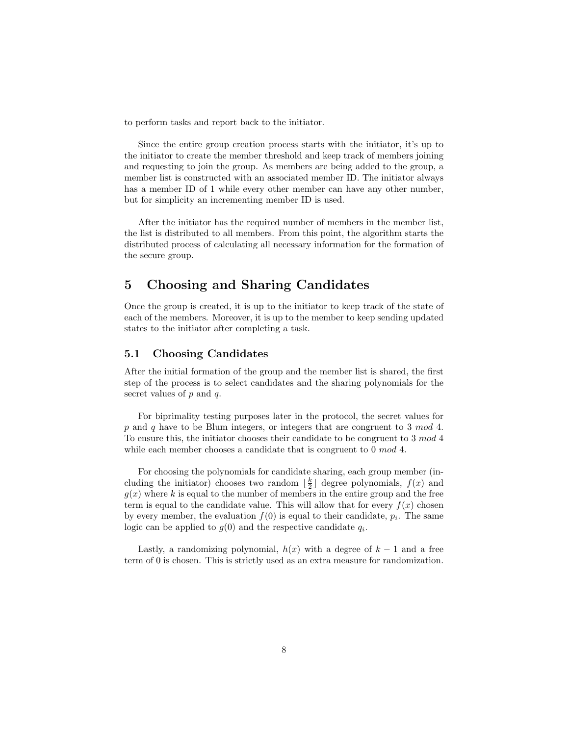to perform tasks and report back to the initiator.

Since the entire group creation process starts with the initiator, it's up to the initiator to create the member threshold and keep track of members joining and requesting to join the group. As members are being added to the group, a member list is constructed with an associated member ID. The initiator always has a member ID of 1 while every other member can have any other number, but for simplicity an incrementing member ID is used.

After the initiator has the required number of members in the member list, the list is distributed to all members. From this point, the algorithm starts the distributed process of calculating all necessary information for the formation of the secure group.

## <span id="page-9-0"></span>5 Choosing and Sharing Candidates

Once the group is created, it is up to the initiator to keep track of the state of each of the members. Moreover, it is up to the member to keep sending updated states to the initiator after completing a task.

#### <span id="page-9-1"></span>5.1 Choosing Candidates

After the initial formation of the group and the member list is shared, the first step of the process is to select candidates and the sharing polynomials for the secret values of  $p$  and  $q$ .

For biprimality testing purposes later in the protocol, the secret values for p and q have to be Blum integers, or integers that are congruent to 3 mod 4. To ensure this, the initiator chooses their candidate to be congruent to 3 mod 4 while each member chooses a candidate that is congruent to 0 mod 4.

For choosing the polynomials for candidate sharing, each group member (including the initiator) chooses two random  $\lfloor \frac{k}{2} \rfloor$  degree polynomials,  $f(x)$  and  $g(x)$  where k is equal to the number of members in the entire group and the free term is equal to the candidate value. This will allow that for every  $f(x)$  chosen by every member, the evaluation  $f(0)$  is equal to their candidate,  $p_i$ . The same logic can be applied to  $g(0)$  and the respective candidate  $q_i$ .

Lastly, a randomizing polynomial,  $h(x)$  with a degree of  $k-1$  and a free term of 0 is chosen. This is strictly used as an extra measure for randomization.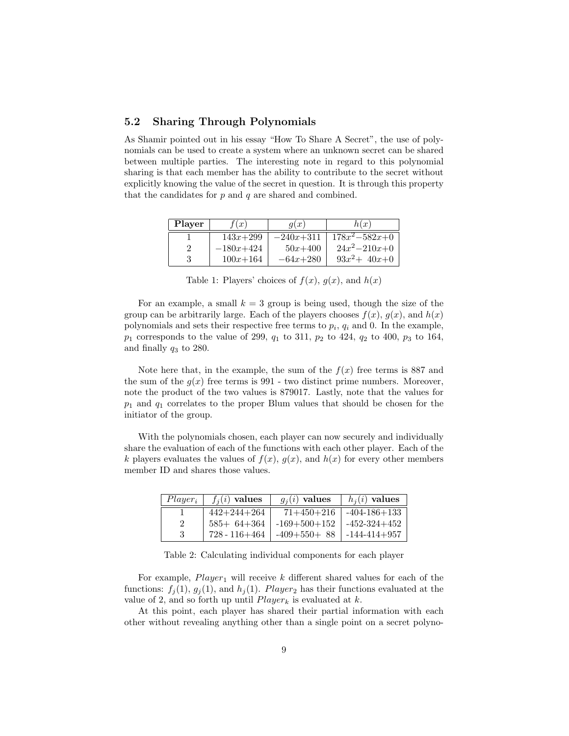### <span id="page-10-0"></span>5.2 Sharing Through Polynomials

As Shamir pointed out in his essay "How To Share A Secret", the use of polynomials can be used to create a system where an unknown secret can be shared between multiple parties. The interesting note in regard to this polynomial sharing is that each member has the ability to contribute to the secret without explicitly knowing the value of the secret in question. It is through this property that the candidates for  $p$  and  $q$  are shared and combined.

| <b>Player</b> | f(x)         | q(x)        | h(x)                |
|---------------|--------------|-------------|---------------------|
|               | $143x + 299$ | $-240x+311$ | $178x^2 - 582x + 0$ |
| 2             | $-180x+424$  | $50x + 400$ | $24x^2-210x+0$      |
| З             | $100x + 164$ | $-64x+280$  | $93x^2 + 40x + 0$   |

<span id="page-10-1"></span>Table 1: Players' choices of  $f(x)$ ,  $g(x)$ , and  $h(x)$ 

For an example, a small  $k = 3$  group is being used, though the size of the group can be arbitrarily large. Each of the players chooses  $f(x)$ ,  $g(x)$ , and  $h(x)$ polynomials and sets their respective free terms to  $p_i$ ,  $q_i$  and 0. In the example,  $p_1$  corresponds to the value of 299,  $q_1$  to 311,  $p_2$  to 424,  $q_2$  to 400,  $p_3$  to 164, and finally  $q_3$  to 280.

Note here that, in the example, the sum of the  $f(x)$  free terms is 887 and the sum of the  $g(x)$  free terms is 991 - two distinct prime numbers. Moreover, note the product of the two values is 879017. Lastly, note that the values for  $p_1$  and  $q_1$  correlates to the proper Blum values that should be chosen for the initiator of the group.

With the polynomials chosen, each player can now securely and individually share the evaluation of each of the functions with each other player. Each of the k players evaluates the values of  $f(x)$ ,  $g(x)$ , and  $h(x)$  for every other members member ID and shares those values.

| $Player_i$ | $f_i(i)$ values   | $g_i(i)$ values | $h_i(i)$ values    |
|------------|-------------------|-----------------|--------------------|
|            | $442 + 244 + 264$ | $71+450+216$    | $-404 - 186 + 133$ |
|            | $585 + 64 + 364$  | $-169+500+152$  | $-452 - 324 + 452$ |
| 3          | 728 - 116+464     | $-409+550+88$   | $-144 - 414 + 957$ |

<span id="page-10-2"></span>Table 2: Calculating individual components for each player

For example,  $Player_1$  will receive k different shared values for each of the functions:  $f_i(1), g_i(1),$  and  $h_i(1)$ . Player<sub>2</sub> has their functions evaluated at the value of 2, and so forth up until  $Player_k$  is evaluated at k.

At this point, each player has shared their partial information with each other without revealing anything other than a single point on a secret polyno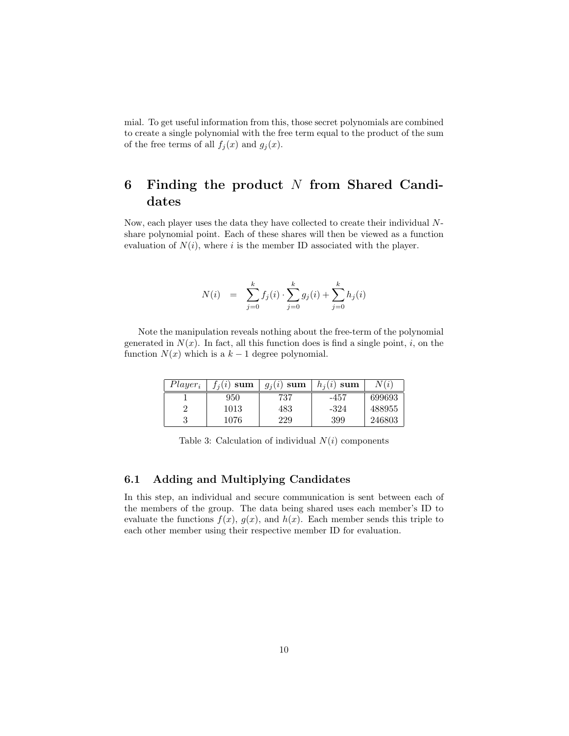mial. To get useful information from this, those secret polynomials are combined to create a single polynomial with the free term equal to the product of the sum of the free terms of all  $f_j(x)$  and  $g_j(x)$ .

## <span id="page-11-0"></span>6 Finding the product  $N$  from Shared Candidates

Now, each player uses the data they have collected to create their individual Nshare polynomial point. Each of these shares will then be viewed as a function evaluation of  $N(i)$ , where i is the member ID associated with the player.

$$
N(i) = \sum_{j=0}^{k} f_j(i) \cdot \sum_{j=0}^{k} g_j(i) + \sum_{j=0}^{k} h_j(i)
$$

Note the manipulation reveals nothing about the free-term of the polynomial generated in  $N(x)$ . In fact, all this function does is find a single point, i, on the function  $N(x)$  which is a  $k-1$  degree polynomial.

| $Player_i$ | $f_i(i)$ sum | $g_i(i)$ sum | $h_i(i)$ sum | (i     |
|------------|--------------|--------------|--------------|--------|
|            | 950          | 737          | -457         | 699693 |
| ച          | 1013         | 483          | -324         | 488955 |
| 3          | 1076         | 229          | 399          | 246803 |

<span id="page-11-2"></span>Table 3: Calculation of individual  $N(i)$  components

#### <span id="page-11-1"></span>6.1 Adding and Multiplying Candidates

In this step, an individual and secure communication is sent between each of the members of the group. The data being shared uses each member's ID to evaluate the functions  $f(x)$ ,  $g(x)$ , and  $h(x)$ . Each member sends this triple to each other member using their respective member ID for evaluation.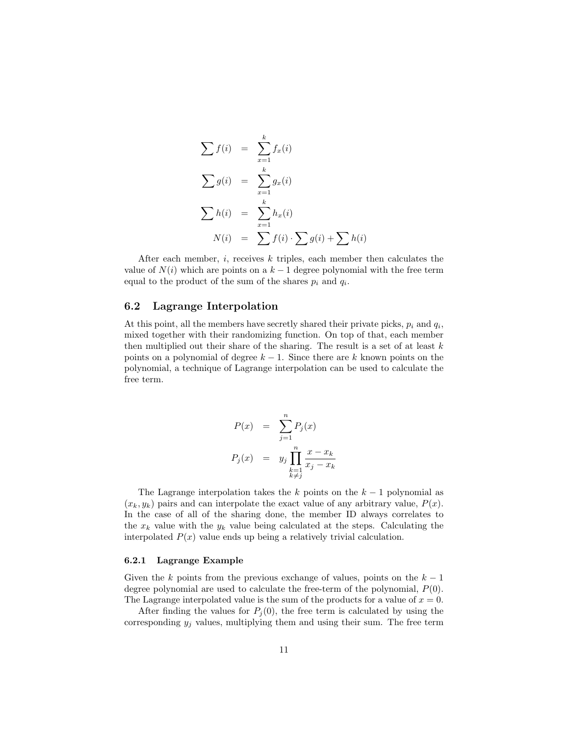$$
\sum f(i) = \sum_{x=1}^{k} f_x(i)
$$
  

$$
\sum g(i) = \sum_{x=1}^{k} g_x(i)
$$
  

$$
\sum h(i) = \sum_{x=1}^{k} h_x(i)
$$
  

$$
N(i) = \sum f(i) \cdot \sum g(i) + \sum h(i)
$$

After each member,  $i$ , receives  $k$  triples, each member then calculates the value of  $N(i)$  which are points on a  $k-1$  degree polynomial with the free term equal to the product of the sum of the shares  $p_i$  and  $q_i$ .

#### <span id="page-12-0"></span>6.2 Lagrange Interpolation

At this point, all the members have secretly shared their private picks,  $p_i$  and  $q_i$ , mixed together with their randomizing function. On top of that, each member then multiplied out their share of the sharing. The result is a set of at least  $k$ points on a polynomial of degree  $k - 1$ . Since there are k known points on the polynomial, a technique of Lagrange interpolation can be used to calculate the free term.

$$
P(x) = \sum_{j=1}^{n} P_j(x)
$$
  

$$
P_j(x) = y_j \prod_{\substack{k=1 \ k \neq j}}^{n} \frac{x - x_k}{x_j - x_k}
$$

The Lagrange interpolation takes the k points on the  $k-1$  polynomial as  $(x_k, y_k)$  pairs and can interpolate the exact value of any arbitrary value,  $P(x)$ . In the case of all of the sharing done, the member ID always correlates to the  $x_k$  value with the  $y_k$  value being calculated at the steps. Calculating the interpolated  $P(x)$  value ends up being a relatively trivial calculation.

#### <span id="page-12-1"></span>6.2.1 Lagrange Example

Given the k points from the previous exchange of values, points on the  $k-1$ degree polynomial are used to calculate the free-term of the polynomial,  $P(0)$ . The Lagrange interpolated value is the sum of the products for a value of  $x = 0$ .

After finding the values for  $P_i(0)$ , the free term is calculated by using the corresponding  $y_j$  values, multiplying them and using their sum. The free term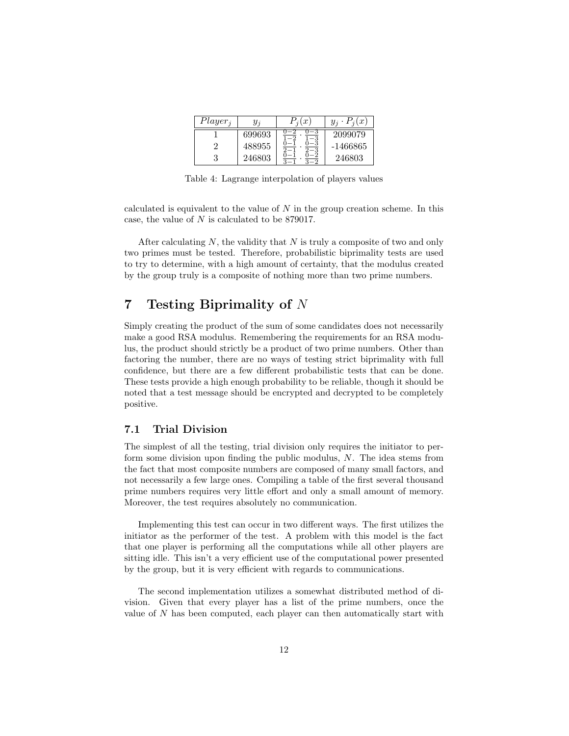| $Player_i$ | $y_i$  | $P_i(x)$ | $P_i(x)$ |
|------------|--------|----------|----------|
|            | 699693 |          | 2099079  |
| റ          | 488955 |          | -1466865 |
| 3          | 246803 |          | 246803   |

<span id="page-13-2"></span>Table 4: Lagrange interpolation of players values

calculated is equivalent to the value of  $N$  in the group creation scheme. In this case, the value of N is calculated to be 879017.

After calculating  $N$ , the validity that  $N$  is truly a composite of two and only two primes must be tested. Therefore, probabilistic biprimality tests are used to try to determine, with a high amount of certainty, that the modulus created by the group truly is a composite of nothing more than two prime numbers.

## <span id="page-13-0"></span>7 Testing Biprimality of N

Simply creating the product of the sum of some candidates does not necessarily make a good RSA modulus. Remembering the requirements for an RSA modulus, the product should strictly be a product of two prime numbers. Other than factoring the number, there are no ways of testing strict biprimality with full confidence, but there are a few different probabilistic tests that can be done. These tests provide a high enough probability to be reliable, though it should be noted that a test message should be encrypted and decrypted to be completely positive.

### <span id="page-13-1"></span>7.1 Trial Division

The simplest of all the testing, trial division only requires the initiator to perform some division upon finding the public modulus, N. The idea stems from the fact that most composite numbers are composed of many small factors, and not necessarily a few large ones. Compiling a table of the first several thousand prime numbers requires very little effort and only a small amount of memory. Moreover, the test requires absolutely no communication.

Implementing this test can occur in two different ways. The first utilizes the initiator as the performer of the test. A problem with this model is the fact that one player is performing all the computations while all other players are sitting idle. This isn't a very efficient use of the computational power presented by the group, but it is very efficient with regards to communications.

The second implementation utilizes a somewhat distributed method of division. Given that every player has a list of the prime numbers, once the value of  $N$  has been computed, each player can then automatically start with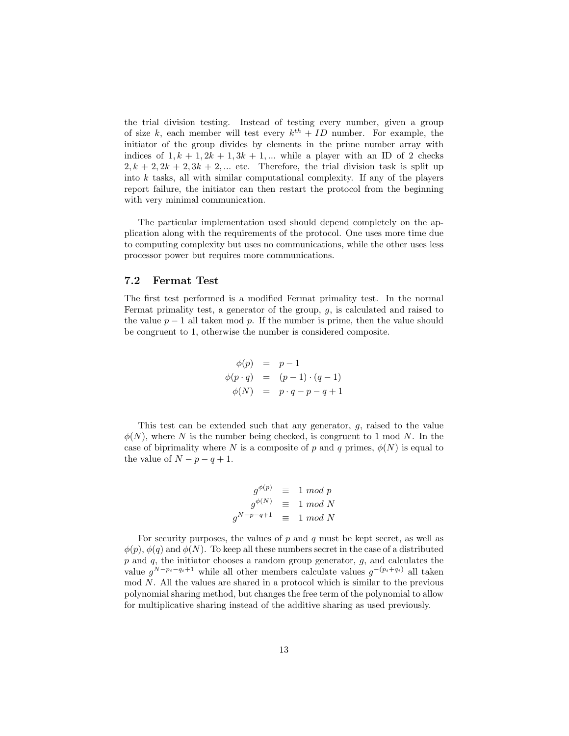the trial division testing. Instead of testing every number, given a group of size k, each member will test every  $k^{th} + ID$  number. For example, the initiator of the group divides by elements in the prime number array with indices of  $1, k + 1, 2k + 1, 3k + 1, ...$  while a player with an ID of 2 checks  $2, k + 2, 2k + 2, 3k + 2, ...$  etc. Therefore, the trial division task is split up into  $k$  tasks, all with similar computational complexity. If any of the players report failure, the initiator can then restart the protocol from the beginning with very minimal communication.

The particular implementation used should depend completely on the application along with the requirements of the protocol. One uses more time due to computing complexity but uses no communications, while the other uses less processor power but requires more communications.

### <span id="page-14-0"></span>7.2 Fermat Test

The first test performed is a modified Fermat primality test. In the normal Fermat primality test, a generator of the group,  $g$ , is calculated and raised to the value  $p-1$  all taken mod p. If the number is prime, then the value should be congruent to 1, otherwise the number is considered composite.

$$
\begin{array}{rcl}\n\phi(p) & = & p - 1 \\
\phi(p \cdot q) & = & (p - 1) \cdot (q - 1) \\
\phi(N) & = & p \cdot q - p - q + 1\n\end{array}
$$

This test can be extended such that any generator, g, raised to the value  $\phi(N)$ , where N is the number being checked, is congruent to 1 mod N. In the case of biprimality where N is a composite of p and q primes,  $\phi(N)$  is equal to the value of  $N - p - q + 1$ .

$$
g^{\phi(p)} \equiv 1 \mod p
$$
  

$$
g^{\phi(N)} \equiv 1 \mod N
$$
  

$$
g^{N-p-q+1} \equiv 1 \mod N
$$

For security purposes, the values of  $p$  and  $q$  must be kept secret, as well as  $\phi(p), \phi(q)$  and  $\phi(N)$ . To keep all these numbers secret in the case of a distributed  $p$  and  $q$ , the initiator chooses a random group generator,  $g$ , and calculates the value  $g^{N-p_i-q_i+1}$  while all other members calculate values  $g^{-(p_i+q_i)}$  all taken mod N. All the values are shared in a protocol which is similar to the previous polynomial sharing method, but changes the free term of the polynomial to allow for multiplicative sharing instead of the additive sharing as used previously.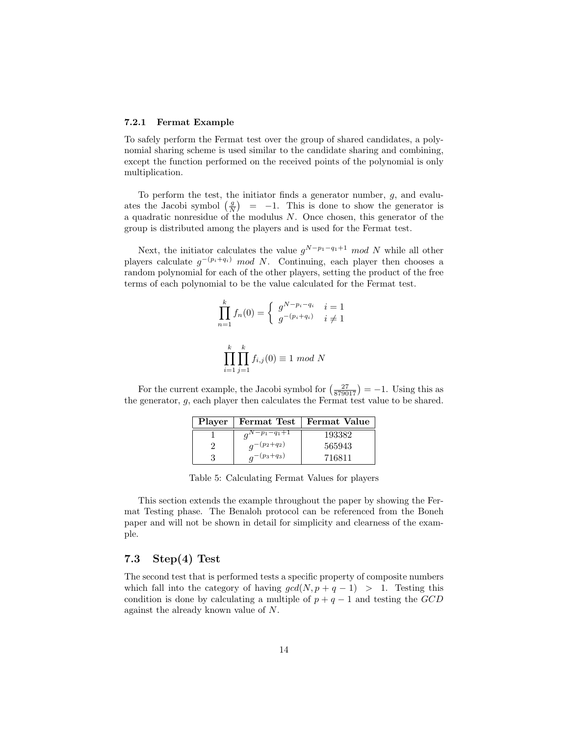#### <span id="page-15-0"></span>7.2.1 Fermat Example

To safely perform the Fermat test over the group of shared candidates, a polynomial sharing scheme is used similar to the candidate sharing and combining, except the function performed on the received points of the polynomial is only multiplication.

To perform the test, the initiator finds a generator number,  $g$ , and evaluates the Jacobi symbol  $\left(\frac{g}{N}\right)$  = -1. This is done to show the generator is a quadratic nonresidue of the modulus N. Once chosen, this generator of the group is distributed among the players and is used for the Fermat test.

Next, the initiator calculates the value  $g^{N-p_1-q_1+1} \mod N$  while all other players calculate  $g^{-(p_i+q_i)}$  mod N. Continuing, each player then chooses a random polynomial for each of the other players, setting the product of the free terms of each polynomial to be the value calculated for the Fermat test.

$$
\prod_{n=1}^{k} f_n(0) = \begin{cases} g^{N-p_i-q_i} & i = 1\\ g^{-(p_i+q_i)} & i \neq 1 \end{cases}
$$

$$
\prod_{i=1}^{k} \prod_{j=1}^{k} f_{i,j}(0) \equiv 1 \mod N
$$

For the current example, the Jacobi symbol for  $\left(\frac{27}{879017}\right) = -1$ . Using this as the generator, g, each player then calculates the Fermat test value to be shared.

|   | Player   Fermat Test | Fermat Value |
|---|----------------------|--------------|
|   | $a^{N-p_1-q_1+1}$    | 193382       |
| ച | $q^{-(p_2+q_2)}$     | 565943       |
|   | $a^{-(p_3+q_3)}$     | 716811       |

<span id="page-15-2"></span>Table 5: Calculating Fermat Values for players

This section extends the example throughout the paper by showing the Fermat Testing phase. The Benaloh protocol can be referenced from the Boneh paper and will not be shown in detail for simplicity and clearness of the example.

## <span id="page-15-1"></span>7.3 Step(4) Test

The second test that is performed tests a specific property of composite numbers which fall into the category of having  $gcd(N, p + q - 1) > 1$ . Testing this condition is done by calculating a multiple of  $p + q - 1$  and testing the  $GCD$ against the already known value of N.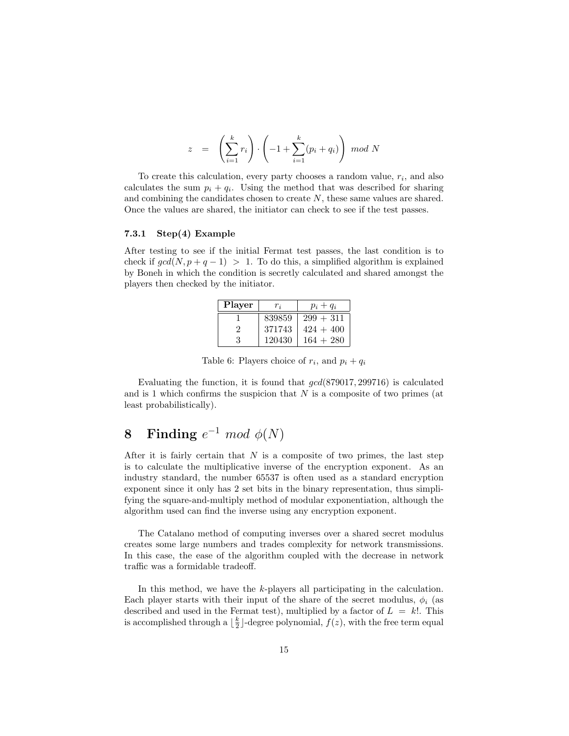$$
z = \left(\sum_{i=1}^{k} r_i\right) \cdot \left(-1 + \sum_{i=1}^{k} (p_i + q_i)\right) \mod N
$$

To create this calculation, every party chooses a random value,  $r_i$ , and also calculates the sum  $p_i + q_i$ . Using the method that was described for sharing and combining the candidates chosen to create  $N$ , these same values are shared. Once the values are shared, the initiator can check to see if the test passes.

#### <span id="page-16-0"></span>7.3.1 Step(4) Example

After testing to see if the initial Fermat test passes, the last condition is to check if  $gcd(N, p + q - 1) > 1$ . To do this, a simplified algorithm is explained by Boneh in which the condition is secretly calculated and shared amongst the players then checked by the initiator.

| Player  | $r_i$  | $p_i+q_i$   |
|---------|--------|-------------|
|         | 839859 | $299 + 311$ |
| $\cdot$ | 371743 | $424 + 400$ |
| З       | 120430 | $164 + 280$ |

<span id="page-16-2"></span>Table 6: Players choice of  $r_i$ , and  $p_i + q_i$ 

Evaluating the function, it is found that  $\gcd(879017, 299716)$  is calculated and is 1 which confirms the suspicion that  $N$  is a composite of two primes (at least probabilistically).

## <span id="page-16-1"></span>8 Finding  $e^{-1} \mod \phi(N)$

After it is fairly certain that  $N$  is a composite of two primes, the last step is to calculate the multiplicative inverse of the encryption exponent. As an industry standard, the number 65537 is often used as a standard encryption exponent since it only has 2 set bits in the binary representation, thus simplifying the square-and-multiply method of modular exponentiation, although the algorithm used can find the inverse using any encryption exponent.

The Catalano method of computing inverses over a shared secret modulus creates some large numbers and trades complexity for network transmissions. In this case, the ease of the algorithm coupled with the decrease in network traffic was a formidable tradeoff.

In this method, we have the k-players all participating in the calculation. Each player starts with their input of the share of the secret modulus,  $\phi_i$  (as described and used in the Fermat test), multiplied by a factor of  $L = k!$ . This is accomplished through a  $\lfloor \frac{k}{2} \rfloor$ -degree polynomial,  $f(z)$ , with the free term equal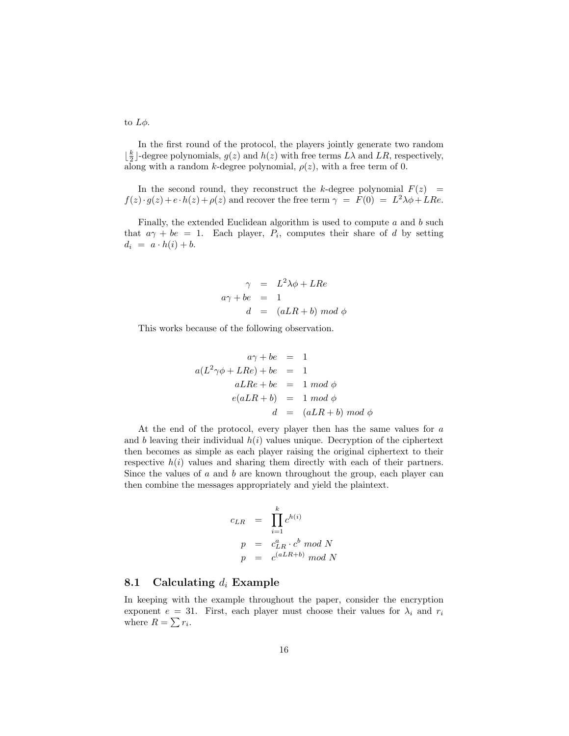to  $L\phi$ .

In the first round of the protocol, the players jointly generate two random  $\lfloor \frac{k}{2} \rfloor$ -degree polynomials,  $g(z)$  and  $h(z)$  with free terms  $L\lambda$  and  $LR$ , respectively, along with a random k-degree polynomial,  $\rho(z)$ , with a free term of 0.

In the second round, they reconstruct the k-degree polynomial  $F(z)$  =  $f(z) \cdot g(z) + e \cdot h(z) + \rho(z)$  and recover the free term  $\gamma = F(0) = L^2 \lambda \phi + LRe$ .

Finally, the extended Euclidean algorithm is used to compute  $a$  and  $b$  such that  $a\gamma + be = 1$ . Each player,  $P_i$ , computes their share of d by setting  $d_i = a \cdot h(i) + b.$ 

$$
\gamma = L^2 \lambda \phi + L Re
$$
  

$$
a\gamma + be = 1
$$
  

$$
d = (aLR + b) \mod \phi
$$

This works because of the following observation.

$$
a\gamma + be = 1
$$
  
\n
$$
a(L^2\gamma\phi + LRe) + be = 1
$$
  
\n
$$
aLRe + be = 1 \mod \phi
$$
  
\n
$$
e(aLR + b) = 1 \mod \phi
$$
  
\n
$$
d = (aLR + b) \mod \phi
$$

At the end of the protocol, every player then has the same values for a and b leaving their individual  $h(i)$  values unique. Decryption of the ciphertext then becomes as simple as each player raising the original ciphertext to their respective  $h(i)$  values and sharing them directly with each of their partners. Since the values of  $a$  and  $b$  are known throughout the group, each player can then combine the messages appropriately and yield the plaintext.

$$
c_{LR} = \prod_{i=1}^{k} c^{h(i)}
$$
  
\n
$$
p = c_{LR}^{a} \cdot c^{b} \mod N
$$
  
\n
$$
p = c^{(aLR+b)} \mod N
$$

#### <span id="page-17-0"></span>8.1 Calculating  $d_i$  Example

In keeping with the example throughout the paper, consider the encryption exponent  $e = 31$ . First, each player must choose their values for  $\lambda_i$  and  $r_i$ where  $R = \sum r_i$ .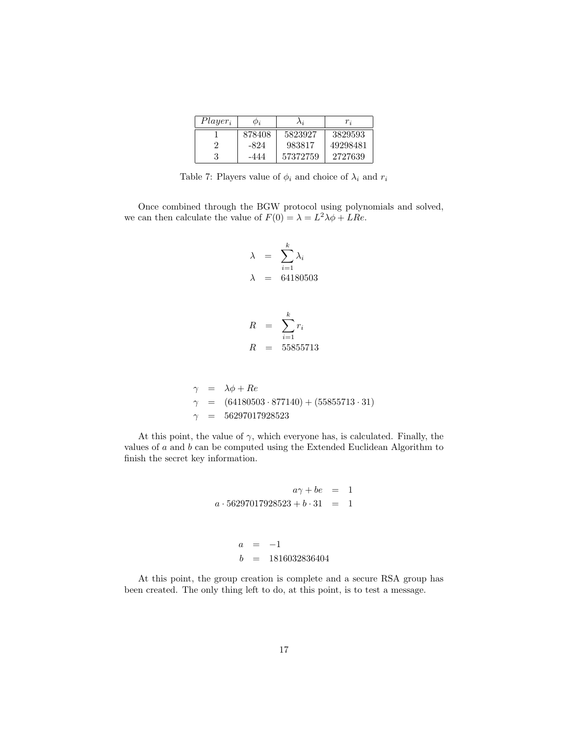| $Player_i$ | $\varphi_i$ | Λj       | $r_{\cdot i}$ |
|------------|-------------|----------|---------------|
|            | 878408      | 5823927  | 3829593       |
| າ          | -824        | 983817   | 49298481      |
| 3          | -444        | 57372759 | 2727639       |

<span id="page-18-0"></span>Table 7: Players value of  $\phi_i$  and choice of  $\lambda_i$  and  $r_i$ 

Once combined through the BGW protocol using polynomials and solved, we can then calculate the value of  $F(0) = \lambda = L^2 \lambda \phi + LRe$ .

$$
\lambda = \sum_{i=1}^{k} \lambda_i
$$
  

$$
\lambda = 64180503
$$

$$
R = \sum_{i=1}^{k} r_i
$$
  

$$
R = 55855713
$$

$$
\begin{array}{rcl}\n\gamma & = & \lambda \phi + Re \\
\gamma & = & (64180503 \cdot 877140) + (55855713 \cdot 31) \\
\gamma & = & 56297017928523\n\end{array}
$$

At this point, the value of  $\gamma$ , which everyone has, is calculated. Finally, the values of  $a$  and  $b$  can be computed using the Extended Euclidean Algorithm to finish the secret key information.

$$
a\gamma + be = 1
$$
  

$$
a \cdot 56297017928523 + b \cdot 31 = 1
$$
  

$$
a = -1
$$
  

$$
b = 1816032836404
$$

At this point, the group creation is complete and a secure RSA group has been created. The only thing left to do, at this point, is to test a message.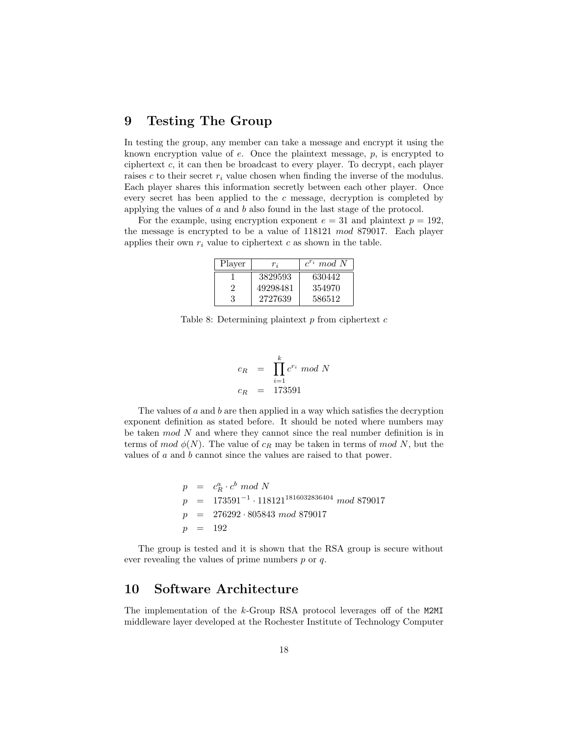## <span id="page-19-0"></span>9 Testing The Group

In testing the group, any member can take a message and encrypt it using the known encryption value of e. Once the plaintext message, p, is encrypted to ciphertext c, it can then be broadcast to every player. To decrypt, each player raises c to their secret  $r_i$  value chosen when finding the inverse of the modulus. Each player shares this information secretly between each other player. Once every secret has been applied to the  $c$  message, decryption is completed by applying the values of a and b also found in the last stage of the protocol.

For the example, using encryption exponent  $e = 31$  and plaintext  $p = 192$ , the message is encrypted to be a value of 118121 mod 879017. Each player applies their own  $r_i$  value to ciphertext c as shown in the table.

| Player | $r_i$    | $c^{r_i} \mod N$ |
|--------|----------|------------------|
|        | 3829593  | 630442           |
| 9      | 49298481 | 354970           |
| 3      | 2727639  | 586512           |

<span id="page-19-2"></span>Table 8: Determining plaintext  $p$  from ciphertext  $c$ 

$$
c_R = \prod_{i=1}^{k} c^{r_i} \mod N
$$
  

$$
c_R = 173591
$$

The values of  $a$  and  $b$  are then applied in a way which satisfies the decryption exponent definition as stated before. It should be noted where numbers may be taken mod N and where they cannot since the real number definition is in terms of mod  $\phi(N)$ . The value of  $c_R$  may be taken in terms of mod N, but the values of a and b cannot since the values are raised to that power.

$$
p = c_R^a \cdot c^b \mod N
$$
  
\n
$$
p = 173591^{-1} \cdot 118121^{1816032836404} \mod 879017
$$
  
\n
$$
p = 276292 \cdot 805843 \mod 879017
$$
  
\n
$$
p = 192
$$

The group is tested and it is shown that the RSA group is secure without ever revealing the values of prime numbers  $p$  or  $q$ .

## <span id="page-19-1"></span>10 Software Architecture

The implementation of the k-Group RSA protocol leverages off of the M2MI middleware layer developed at the Rochester Institute of Technology Computer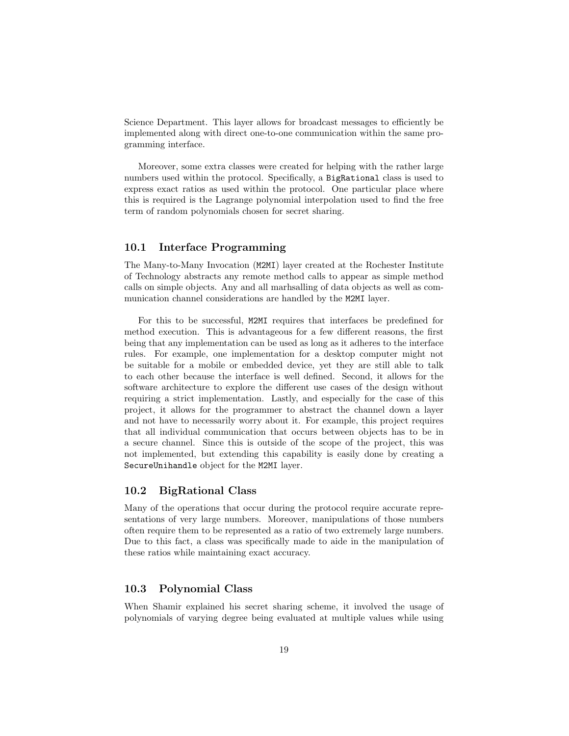Science Department. This layer allows for broadcast messages to efficiently be implemented along with direct one-to-one communication within the same programming interface.

Moreover, some extra classes were created for helping with the rather large numbers used within the protocol. Specifically, a BigRational class is used to express exact ratios as used within the protocol. One particular place where this is required is the Lagrange polynomial interpolation used to find the free term of random polynomials chosen for secret sharing.

### <span id="page-20-0"></span>10.1 Interface Programming

The Many-to-Many Invocation (M2MI) layer created at the Rochester Institute of Technology abstracts any remote method calls to appear as simple method calls on simple objects. Any and all marhsalling of data objects as well as communication channel considerations are handled by the M2MI layer.

For this to be successful, M2MI requires that interfaces be predefined for method execution. This is advantageous for a few different reasons, the first being that any implementation can be used as long as it adheres to the interface rules. For example, one implementation for a desktop computer might not be suitable for a mobile or embedded device, yet they are still able to talk to each other because the interface is well defined. Second, it allows for the software architecture to explore the different use cases of the design without requiring a strict implementation. Lastly, and especially for the case of this project, it allows for the programmer to abstract the channel down a layer and not have to necessarily worry about it. For example, this project requires that all individual communication that occurs between objects has to be in a secure channel. Since this is outside of the scope of the project, this was not implemented, but extending this capability is easily done by creating a SecureUnihandle object for the M2MI layer.

#### <span id="page-20-1"></span>10.2 BigRational Class

Many of the operations that occur during the protocol require accurate representations of very large numbers. Moreover, manipulations of those numbers often require them to be represented as a ratio of two extremely large numbers. Due to this fact, a class was specifically made to aide in the manipulation of these ratios while maintaining exact accuracy.

#### <span id="page-20-2"></span>10.3 Polynomial Class

When Shamir explained his secret sharing scheme, it involved the usage of polynomials of varying degree being evaluated at multiple values while using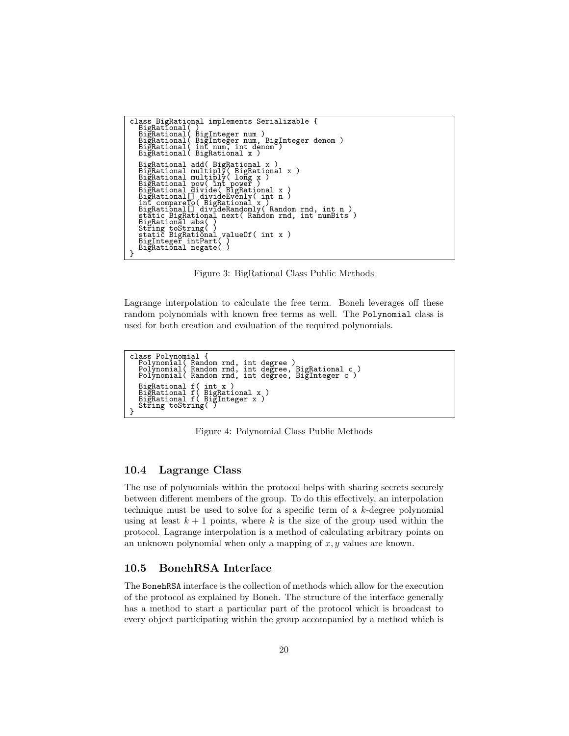```
class BigRational implements Serializable {
       BigRational( )
BigRational( BigInteger num )
BigRational( BigInteger num, BigInteger denom )
BigRational( int num, int denom )
BigRational( BigRational x )
       BigRational add( BigRational x )<br>BigRational multiply( BigRational x )<br>BigRational multiply( long x )<br>BigRational pow( int power )<br>BigRational divide( BigRational x )<br>BigRational [] divideEvenly( int n )<br>int compareTo( Big
       BigRational abs( )<br>String toString( )<br>static BigRational valueOf( int x )<br>BigInteger intPart( )<br>BigRational negate( )
}
```
<span id="page-21-2"></span>Figure 3: BigRational Class Public Methods

Lagrange interpolation to calculate the free term. Boneh leverages off these random polynomials with known free terms as well. The Polynomial class is used for both creation and evaluation of the required polynomials.

```
class Polynomial {
Polynomial( Random rnd, int degree )
Polynomial( Random rnd, int degree, BigRational c )
Polynomial( Random rnd, int degree, BigInteger c )
       BigRational f( int x )
BigRational f( BigRational x )
BigRational f( BigInteger x )
String toString( )
}
```
<span id="page-21-3"></span>Figure 4: Polynomial Class Public Methods

### <span id="page-21-0"></span>10.4 Lagrange Class

The use of polynomials within the protocol helps with sharing secrets securely between different members of the group. To do this effectively, an interpolation technique must be used to solve for a specific term of a k-degree polynomial using at least  $k + 1$  points, where k is the size of the group used within the protocol. Lagrange interpolation is a method of calculating arbitrary points on an unknown polynomial when only a mapping of  $x, y$  values are known.

#### <span id="page-21-1"></span>10.5 BonehRSA Interface

The BonehRSA interface is the collection of methods which allow for the execution of the protocol as explained by Boneh. The structure of the interface generally has a method to start a particular part of the protocol which is broadcast to every object participating within the group accompanied by a method which is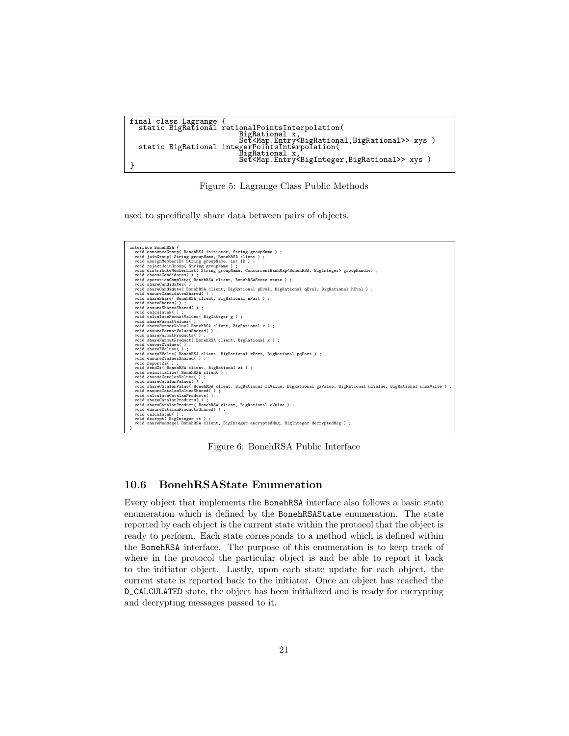```
final class Lagrange {
static BigRational rationalPointsInterpolation(
BigRational x,<br>
Set<Map.Entry<BigRational,BigRational>> xys )<br>
static BigRational integerPointsInterpolation(<br>
BigRational x,<br>
Set<Map.Entry<BigInteger,BigRational>> xys )
```
<span id="page-22-1"></span>Figure 5: Lagrange Class Public Methods

used to specifically share data between pairs of objects.



<span id="page-22-2"></span>Figure 6: BonehRSA Public Interface

### <span id="page-22-0"></span>10.6 BonehRSAState Enumeration

Every object that implements the BonehRSA interface also follows a basic state enumeration which is defined by the BonehRSAState enumeration. The state reported by each object is the current state within the protocol that the object is ready to perform. Each state corresponds to a method which is defined within the BonehRSA interface. The purpose of this enumeration is to keep track of where in the protocol the particular object is and be able to report it back to the initiator object. Lastly, upon each state update for each object, the current state is reported back to the initiator. Once an object has reached the D\_CALCULATED state, the object has been initialized and is ready for encrypting and decrypting messages passed to it.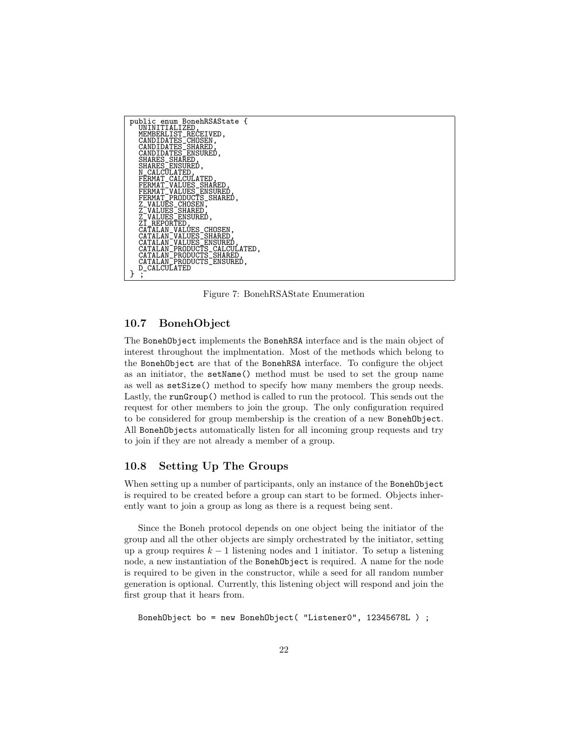

<span id="page-23-2"></span>Figure 7: BonehRSAState Enumeration

#### <span id="page-23-0"></span>10.7 BonehObject

The BonehObject implements the BonehRSA interface and is the main object of interest throughout the implmentation. Most of the methods which belong to the BonehObject are that of the BonehRSA interface. To configure the object as an initiator, the setName() method must be used to set the group name as well as setSize() method to specify how many members the group needs. Lastly, the runGroup() method is called to run the protocol. This sends out the request for other members to join the group. The only configuration required to be considered for group membership is the creation of a new BonehObject. All BonehObjects automatically listen for all incoming group requests and try to join if they are not already a member of a group.

### <span id="page-23-1"></span>10.8 Setting Up The Groups

When setting up a number of participants, only an instance of the BonehObject is required to be created before a group can start to be formed. Objects inherently want to join a group as long as there is a request being sent.

Since the Boneh protocol depends on one object being the initiator of the group and all the other objects are simply orchestrated by the initiator, setting up a group requires  $k - 1$  listening nodes and 1 initiator. To setup a listening node, a new instantiation of the BonehObject is required. A name for the node is required to be given in the constructor, while a seed for all random number generation is optional. Currently, this listening object will respond and join the first group that it hears from.

```
BonehObject bo = new BonehObject( "Listener0", 12345678L ) ;
```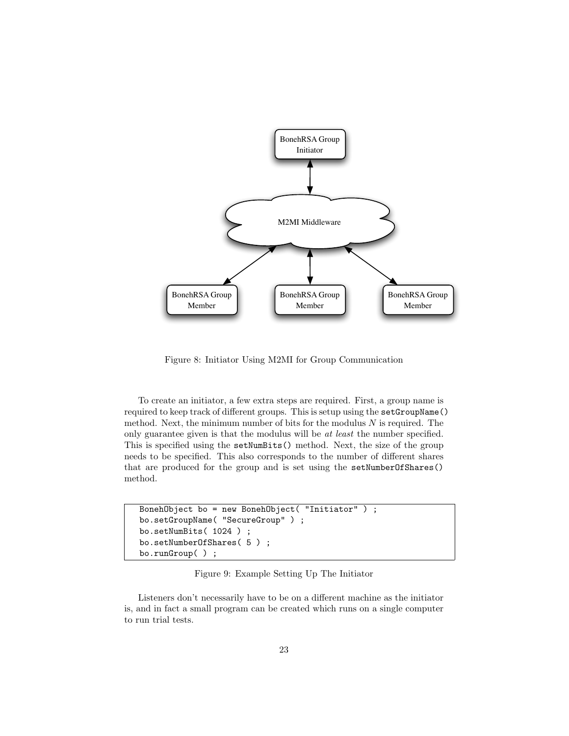

<span id="page-24-0"></span>Figure 8: Initiator Using M2MI for Group Communication

To create an initiator, a few extra steps are required. First, a group name is required to keep track of different groups. This is setup using the setGroupName() method. Next, the minimum number of bits for the modulus  $N$  is required. The only guarantee given is that the modulus will be at least the number specified. This is specified using the setNumBits() method. Next, the size of the group needs to be specified. This also corresponds to the number of different shares that are produced for the group and is set using the setNumberOfShares() method.

```
BonehObject bo = new BonehObject( "Initiator" ) ;
bo.setGroupName( "SecureGroup" ) ;
bo.setNumBits( 1024 ) ;
bo.setNumberOfShares( 5 ) ;
bo.runGroup( ) ;
```
<span id="page-24-1"></span>Figure 9: Example Setting Up The Initiator

Listeners don't necessarily have to be on a different machine as the initiator is, and in fact a small program can be created which runs on a single computer to run trial tests.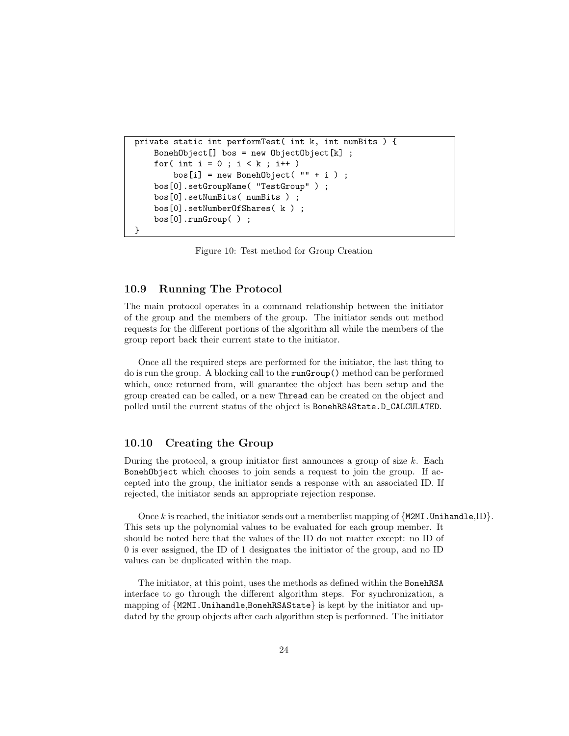```
private static int performTest( int k, int numBits ) {
    Boneh0bject[] bos = new 0bject0bject[k];
    for( int i = 0 ; i < k ; i^{++} )
        bos[i] = new Boneh0bject('" + i );
    bos[0].setGroupName( "TestGroup" ) ;
    bos[0].setNumBits( numBits ) ;
    bos[0].setNumberOfShares( k ) ;
    bos[0].runGroup( ) ;
}
```
<span id="page-25-2"></span>Figure 10: Test method for Group Creation

#### <span id="page-25-0"></span>10.9 Running The Protocol

The main protocol operates in a command relationship between the initiator of the group and the members of the group. The initiator sends out method requests for the different portions of the algorithm all while the members of the group report back their current state to the initiator.

Once all the required steps are performed for the initiator, the last thing to do is run the group. A blocking call to the runGroup() method can be performed which, once returned from, will guarantee the object has been setup and the group created can be called, or a new Thread can be created on the object and polled until the current status of the object is BonehRSAState.D\_CALCULATED.

### <span id="page-25-1"></span>10.10 Creating the Group

During the protocol, a group initiator first announces a group of size  $k$ . Each BonehObject which chooses to join sends a request to join the group. If accepted into the group, the initiator sends a response with an associated ID. If rejected, the initiator sends an appropriate rejection response.

Once k is reached, the initiator sends out a memberlist mapping of  ${M2MI}$ . Unihandle, ID. This sets up the polynomial values to be evaluated for each group member. It should be noted here that the values of the ID do not matter except: no ID of 0 is ever assigned, the ID of 1 designates the initiator of the group, and no ID values can be duplicated within the map.

The initiator, at this point, uses the methods as defined within the BonehRSA interface to go through the different algorithm steps. For synchronization, a mapping of {M2MI.Unihandle,BonehRSAState} is kept by the initiator and updated by the group objects after each algorithm step is performed. The initiator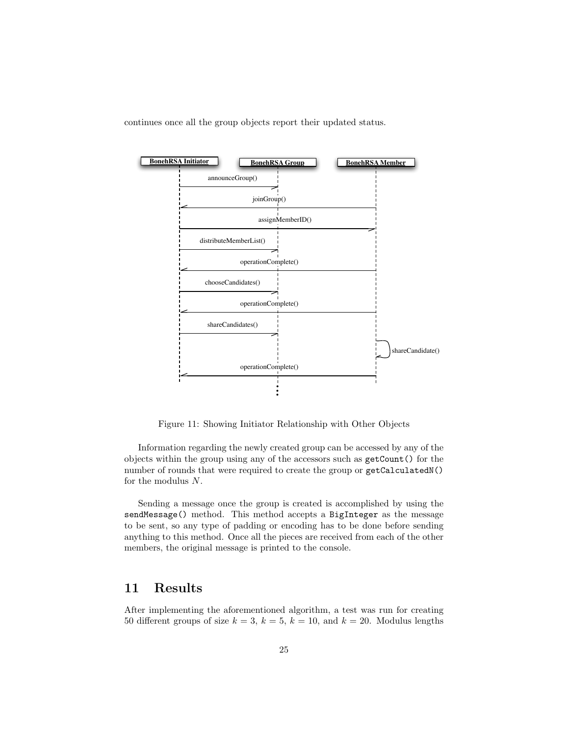continues once all the group objects report their updated status.



<span id="page-26-1"></span>Figure 11: Showing Initiator Relationship with Other Objects

Information regarding the newly created group can be accessed by any of the objects within the group using any of the accessors such as getCount() for the number of rounds that were required to create the group or getCalculatedN() for the modulus  $N$ .

Sending a message once the group is created is accomplished by using the sendMessage() method. This method accepts a BigInteger as the message to be sent, so any type of padding or encoding has to be done before sending anything to this method. Once all the pieces are received from each of the other members, the original message is printed to the console.

## <span id="page-26-0"></span>11 Results

After implementing the aforementioned algorithm, a test was run for creating 50 different groups of size  $k = 3$ ,  $k = 5$ ,  $k = 10$ , and  $k = 20$ . Modulus lengths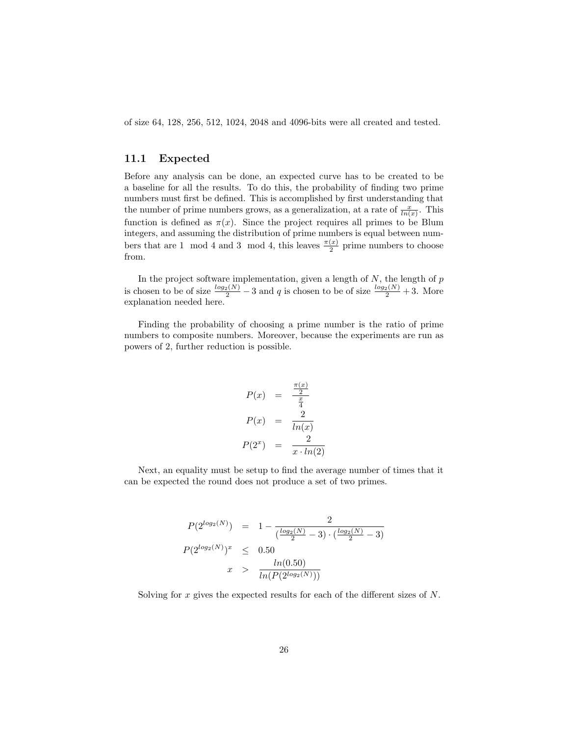of size 64, 128, 256, 512, 1024, 2048 and 4096-bits were all created and tested.

#### <span id="page-27-0"></span>11.1 Expected

Before any analysis can be done, an expected curve has to be created to be a baseline for all the results. To do this, the probability of finding two prime numbers must first be defined. This is accomplished by first understanding that the number of prime numbers grows, as a generalization, at a rate of  $\frac{x}{\ln(x)}$ . This function is defined as  $\pi(x)$ . Since the project requires all primes to be Blum integers, and assuming the distribution of prime numbers is equal between numbers that are 1 mod 4 and 3 mod 4, this leaves  $\frac{\pi(x)}{2}$  prime numbers to choose from.

In the project software implementation, given a length of  $N$ , the length of  $p$ is chosen to be of size  $\frac{log_2(N)}{2}$  – 3 and q is chosen to be of size  $\frac{log_2(N)}{2}$  + 3. More explanation needed here.

Finding the probability of choosing a prime number is the ratio of prime numbers to composite numbers. Moreover, because the experiments are run as powers of 2, further reduction is possible.

$$
P(x) = \frac{\frac{\pi(x)}{2}}{\frac{x}{4}}
$$

$$
P(x) = \frac{2}{\ln(x)}
$$

$$
P(2^x) = \frac{2}{x \cdot \ln(2)}
$$

Next, an equality must be setup to find the average number of times that it can be expected the round does not produce a set of two primes.

$$
P(2^{\log_2(N)}) = 1 - \frac{2}{(\frac{\log_2(N)}{2} - 3) \cdot (\frac{\log_2(N)}{2} - 3)}
$$
  

$$
P(2^{\log_2(N)})^x \le 0.50
$$
  

$$
x > \frac{\ln(0.50)}{\ln(P(2^{\log_2(N)}))}
$$

Solving for x gives the expected results for each of the different sizes of N.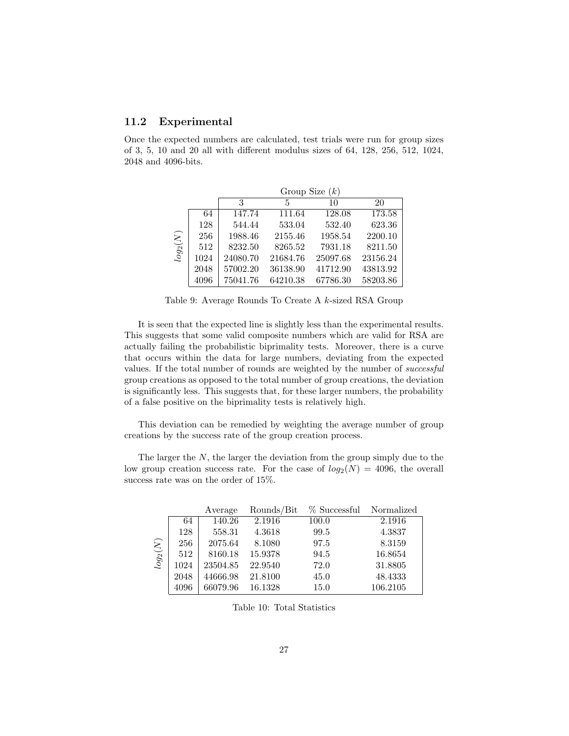### <span id="page-28-0"></span>11.2 Experimental

Once the expected numbers are calculated, test trials were run for group sizes of 3, 5, 10 and 20 all with different modulus sizes of 64, 128, 256, 512, 1024, 2048 and 4096-bits.

|             |      | Group Size $(k)$ |          |          |          |  |
|-------------|------|------------------|----------|----------|----------|--|
|             |      | 3                | 5        | 10       | 20       |  |
| $\log_2(N)$ | 64   | 147.74           | 111.64   | 128.08   | 173.58   |  |
|             | 128  | 544.44           | 533.04   | 532.40   | 623.36   |  |
|             | 256  | 1988.46          | 2155.46  | 1958.54  | 2200.10  |  |
|             | 512  | 8232.50          | 8265.52  | 7931.18  | 8211.50  |  |
|             | 1024 | 24080.70         | 21684.76 | 25097.68 | 23156.24 |  |
|             | 2048 | 57002.20         | 36138.90 | 41712.90 | 43813.92 |  |
|             | 4096 | 75041.76         | 64210.38 | 67786.30 | 58203.86 |  |

<span id="page-28-1"></span>Table 9: Average Rounds To Create A k-sized RSA Group

It is seen that the expected line is slightly less than the experimental results. This suggests that some valid composite numbers which are valid for RSA are actually failing the probabilistic biprimality tests. Moreover, there is a curve that occurs within the data for large numbers, deviating from the expected values. If the total number of rounds are weighted by the number of successful group creations as opposed to the total number of group creations, the deviation is significantly less. This suggests that, for these larger numbers, the probability of a false positive on the biprimality tests is relatively high.

This deviation can be remedied by weighting the average number of group creations by the success rate of the group creation process.

The larger the  $N$ , the larger the deviation from the group simply due to the low group creation success rate. For the case of  $log_2(N) = 4096$ , the overall success rate was on the order of 15%.

|             |      | Average  | Rounds/Bit | % Successful | Normalized |
|-------------|------|----------|------------|--------------|------------|
| $\log_2(N)$ | 64   | 140.26   | 2.1916     | 100.0        | 2.1916     |
|             | 128  | 558.31   | 4.3618     | 99.5         | 4.3837     |
|             | 256  | 2075.64  | 8.1080     | 97.5         | 8.3159     |
|             | 512  | 8160.18  | 15.9378    | 94.5         | 16.8654    |
|             | 1024 | 23504.85 | 22.9540    | 72.0         | 31.8805    |
|             | 2048 | 44666.98 | 21.8100    | 45.0         | 48.4333    |
|             | 4096 | 66079.96 | 16.1328    | 15.0         | 106.2105   |

<span id="page-28-2"></span>Table 10: Total Statistics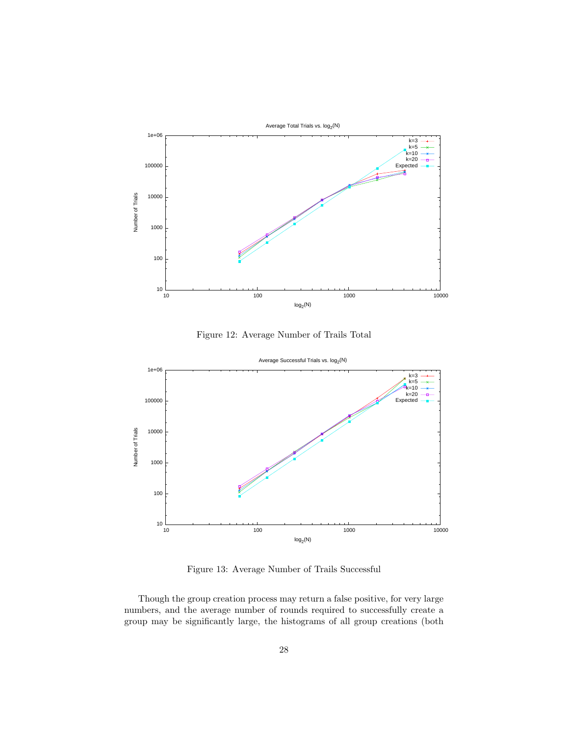

<span id="page-29-0"></span>Figure 12: Average Number of Trails Total



<span id="page-29-1"></span>Figure 13: Average Number of Trails Successful

Though the group creation process may return a false positive, for very large numbers, and the average number of rounds required to successfully create a group may be significantly large, the histograms of all group creations (both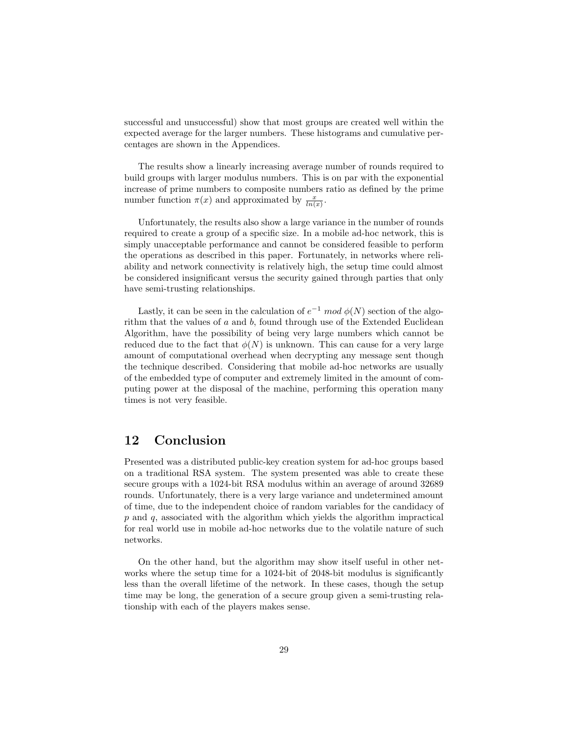successful and unsuccessful) show that most groups are created well within the expected average for the larger numbers. These histograms and cumulative percentages are shown in the Appendices.

The results show a linearly increasing average number of rounds required to build groups with larger modulus numbers. This is on par with the exponential increase of prime numbers to composite numbers ratio as defined by the prime number function  $\pi(x)$  and approximated by  $\frac{x}{\ln(x)}$ .

Unfortunately, the results also show a large variance in the number of rounds required to create a group of a specific size. In a mobile ad-hoc network, this is simply unacceptable performance and cannot be considered feasible to perform the operations as described in this paper. Fortunately, in networks where reliability and network connectivity is relatively high, the setup time could almost be considered insignificant versus the security gained through parties that only have semi-trusting relationships.

Lastly, it can be seen in the calculation of  $e^{-1} \mod \phi(N)$  section of the algorithm that the values of  $a$  and  $b$ , found through use of the Extended Euclidean Algorithm, have the possibility of being very large numbers which cannot be reduced due to the fact that  $\phi(N)$  is unknown. This can cause for a very large amount of computational overhead when decrypting any message sent though the technique described. Considering that mobile ad-hoc networks are usually of the embedded type of computer and extremely limited in the amount of computing power at the disposal of the machine, performing this operation many times is not very feasible.

## <span id="page-30-0"></span>12 Conclusion

Presented was a distributed public-key creation system for ad-hoc groups based on a traditional RSA system. The system presented was able to create these secure groups with a 1024-bit RSA modulus within an average of around 32689 rounds. Unfortunately, there is a very large variance and undetermined amount of time, due to the independent choice of random variables for the candidacy of  $p$  and  $q$ , associated with the algorithm which yields the algorithm impractical for real world use in mobile ad-hoc networks due to the volatile nature of such networks.

On the other hand, but the algorithm may show itself useful in other networks where the setup time for a 1024-bit of 2048-bit modulus is significantly less than the overall lifetime of the network. In these cases, though the setup time may be long, the generation of a secure group given a semi-trusting relationship with each of the players makes sense.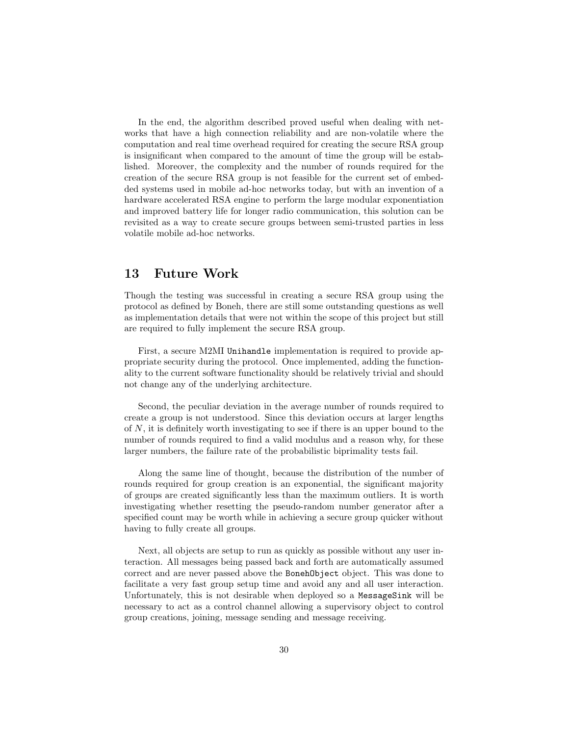In the end, the algorithm described proved useful when dealing with networks that have a high connection reliability and are non-volatile where the computation and real time overhead required for creating the secure RSA group is insignificant when compared to the amount of time the group will be established. Moreover, the complexity and the number of rounds required for the creation of the secure RSA group is not feasible for the current set of embedded systems used in mobile ad-hoc networks today, but with an invention of a hardware accelerated RSA engine to perform the large modular exponentiation and improved battery life for longer radio communication, this solution can be revisited as a way to create secure groups between semi-trusted parties in less volatile mobile ad-hoc networks.

## <span id="page-31-0"></span>13 Future Work

Though the testing was successful in creating a secure RSA group using the protocol as defined by Boneh, there are still some outstanding questions as well as implementation details that were not within the scope of this project but still are required to fully implement the secure RSA group.

First, a secure M2MI Unihandle implementation is required to provide appropriate security during the protocol. Once implemented, adding the functionality to the current software functionality should be relatively trivial and should not change any of the underlying architecture.

Second, the peculiar deviation in the average number of rounds required to create a group is not understood. Since this deviation occurs at larger lengths of N, it is definitely worth investigating to see if there is an upper bound to the number of rounds required to find a valid modulus and a reason why, for these larger numbers, the failure rate of the probabilistic biprimality tests fail.

Along the same line of thought, because the distribution of the number of rounds required for group creation is an exponential, the significant majority of groups are created significantly less than the maximum outliers. It is worth investigating whether resetting the pseudo-random number generator after a specified count may be worth while in achieving a secure group quicker without having to fully create all groups.

Next, all objects are setup to run as quickly as possible without any user interaction. All messages being passed back and forth are automatically assumed correct and are never passed above the BonehObject object. This was done to facilitate a very fast group setup time and avoid any and all user interaction. Unfortunately, this is not desirable when deployed so a MessageSink will be necessary to act as a control channel allowing a supervisory object to control group creations, joining, message sending and message receiving.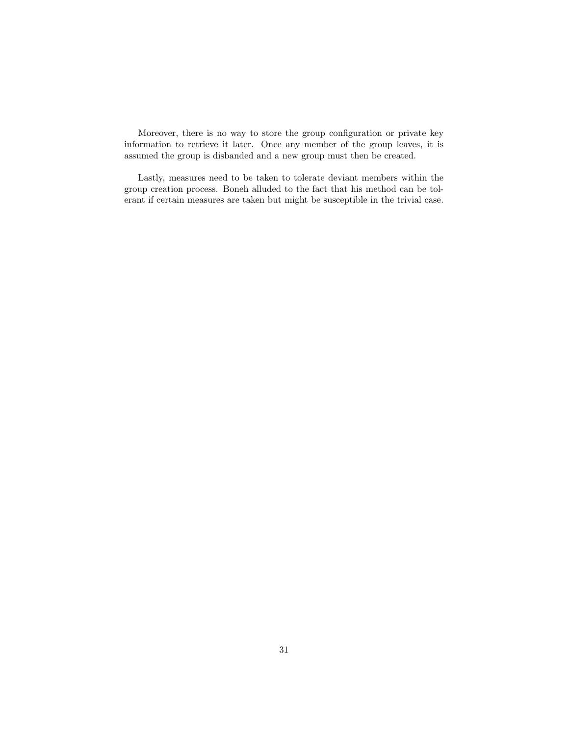Moreover, there is no way to store the group configuration or private key information to retrieve it later. Once any member of the group leaves, it is assumed the group is disbanded and a new group must then be created.

Lastly, measures need to be taken to tolerate deviant members within the group creation process. Boneh alluded to the fact that his method can be tolerant if certain measures are taken but might be susceptible in the trivial case.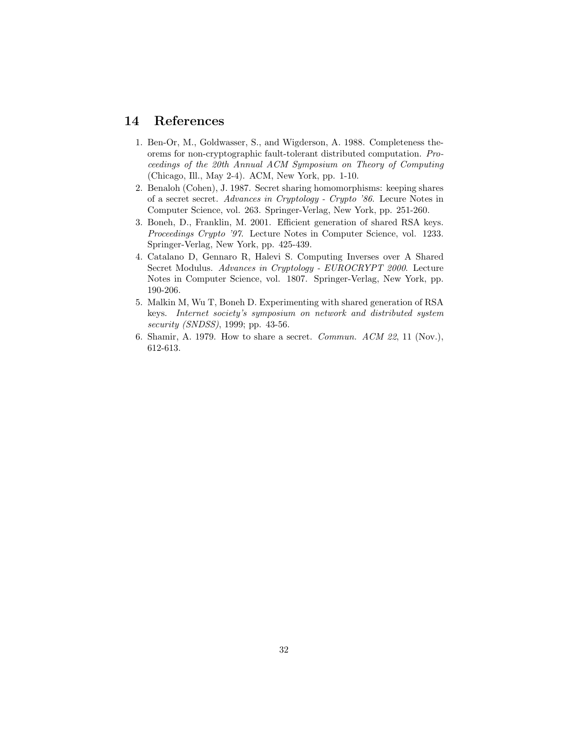## <span id="page-33-0"></span>14 References

- 1. Ben-Or, M., Goldwasser, S., and Wigderson, A. 1988. Completeness theorems for non-cryptographic fault-tolerant distributed computation. Proceedings of the 20th Annual ACM Symposium on Theory of Computing (Chicago, Ill., May 2-4). ACM, New York, pp. 1-10.
- 2. Benaloh (Cohen), J. 1987. Secret sharing homomorphisms: keeping shares of a secret secret. Advances in Cryptology - Crypto '86. Lecure Notes in Computer Science, vol. 263. Springer-Verlag, New York, pp. 251-260.
- 3. Boneh, D., Franklin, M. 2001. Efficient generation of shared RSA keys. Proceedings Crypto '97. Lecture Notes in Computer Science, vol. 1233. Springer-Verlag, New York, pp. 425-439.
- 4. Catalano D, Gennaro R, Halevi S. Computing Inverses over A Shared Secret Modulus. Advances in Cryptology - EUROCRYPT 2000. Lecture Notes in Computer Science, vol. 1807. Springer-Verlag, New York, pp. 190-206.
- 5. Malkin M, Wu T, Boneh D. Experimenting with shared generation of RSA keys. Internet society's symposium on network and distributed system security (SNDSS), 1999; pp. 43-56.
- 6. Shamir, A. 1979. How to share a secret. Commun. ACM 22, 11 (Nov.), 612-613.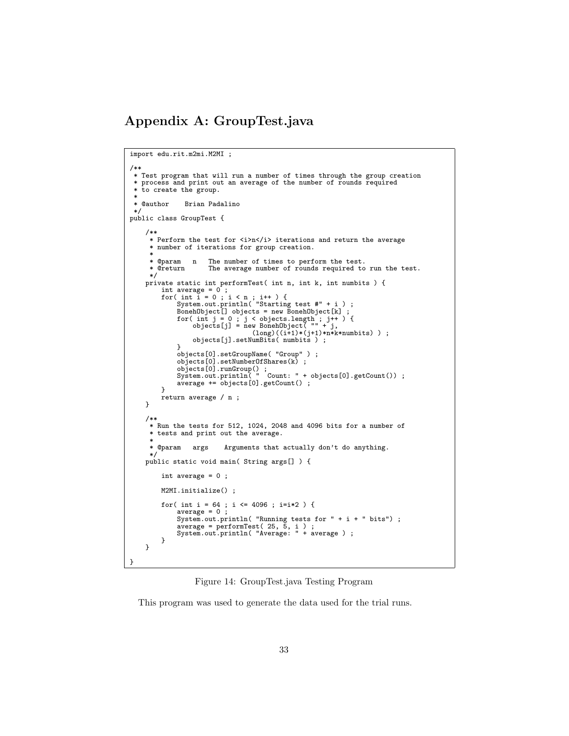## Appendix A: GroupTest.java

```
import edu.rit.m2mi.M2MI ;
/**
 * Test program that will run a number of times through the group creation
 * process and print out an average of the number of rounds required
 * to create the group.
 * @author
                  Brian Padalino
 */
public class GroupTest {
      /**
* Perform the test for <i>n</i> iterations and return the average
      * number of iterations for group creation.
      *
      * @param n The number of times to perform the test.
      * @return The average number of rounds required to run the test.<br>*/
      */<br>
private static int performTest( int n, int k, int numbits ) {<br>
int average = 0;<br>
for( int i = 0; i < n; i++) {<br>
System.out.println( "Starting test #" + i );<br>
BonehObject[] objects = new BonehObject[k];<br>
for( int j = 0;
                 }<br>objects[0].setNumberOfShares(k) ;<br>objects[0].runGroup() ;<br>System.out.println( " Count: " + objects[0].getCount()) ;<br>average += objects[0].getCount() ;
           }
          return average / n ;
     }
     /**
      * Run the tests for 512, 1024, 2048 and 4096 bits for a number of
      * tests and print out the average.
       *
      * @param args Arguments that actually don't do anything.
      */
public static void main( String args[] ) {
          int average = 0 ;
          M2MI.initialize() ;
           for( int i = 64 ; i <= 4096 ; i=i*2 ) {
                average = 0 ;
                 System.out.println( "Running tests for " + i + " bits") ;
average = performTest( 25, 5, i ) ;
System.out.println( "Average: " + average ) ;
          }
     }
}
```
<span id="page-34-0"></span>Figure 14: GroupTest.java Testing Program

This program was used to generate the data used for the trial runs.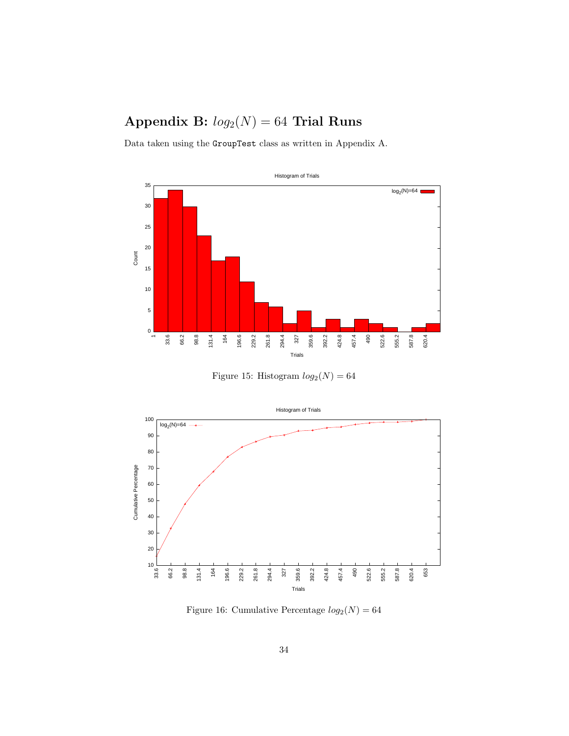# Appendix B:  $log_2(N) = 64$  Trial Runs



<span id="page-35-0"></span>Figure 15: Histogram  $log_2(N) = 64$ 



<span id="page-35-1"></span>Figure 16: Cumulative Percentage  $log_2(N) = 64$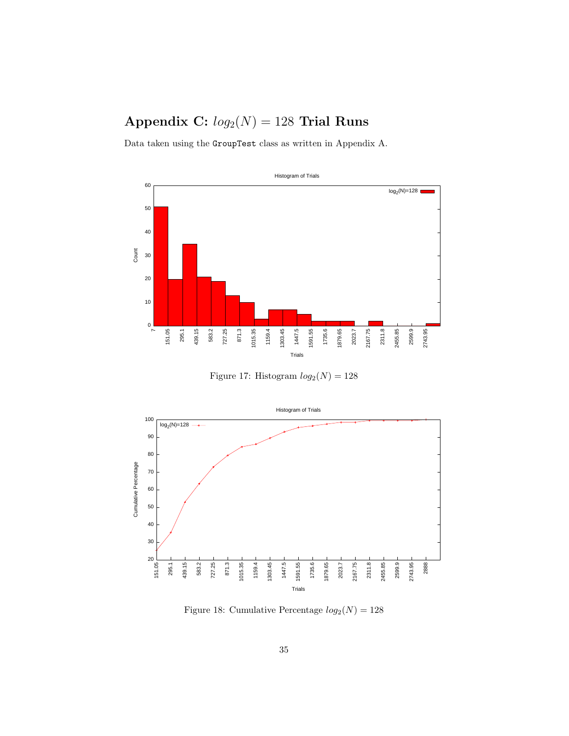## Appendix C:  $log_2(N) = 128$  Trial Runs



<span id="page-36-0"></span>Figure 17: Histogram  $log_2(N) = 128$ 



<span id="page-36-1"></span>Figure 18: Cumulative Percentage  $log_2(N) = 128$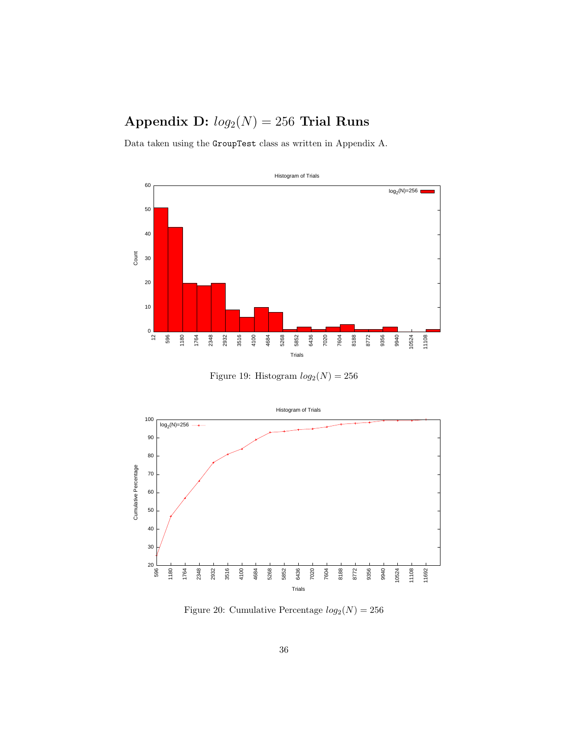# Appendix D:  $log_2(N) = 256$  Trial Runs



<span id="page-37-0"></span>Figure 19: Histogram  $log_2(N) = 256$ 



<span id="page-37-1"></span>Figure 20: Cumulative Percentage  $log_2(N) = 256$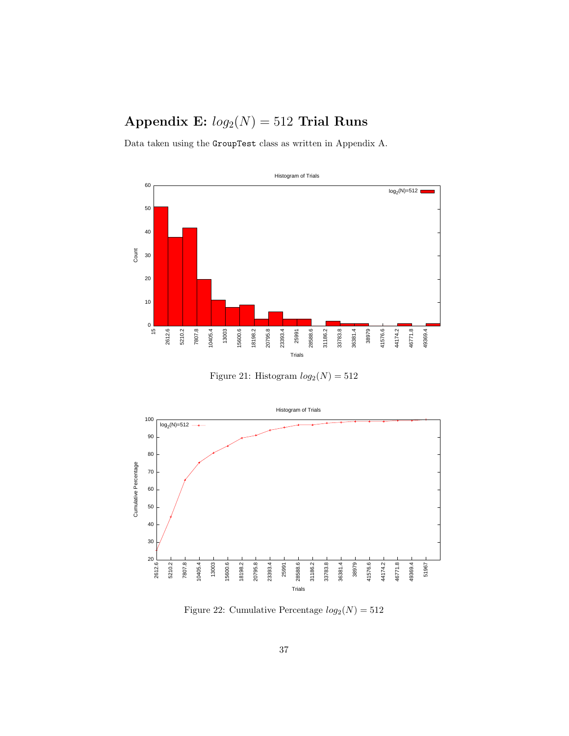## Appendix E:  $log_2(N) = 512$  Trial Runs



<span id="page-38-0"></span>Figure 21: Histogram  $log_2(N) = 512$ 



<span id="page-38-1"></span>Figure 22: Cumulative Percentage  $log_2(N) = 512$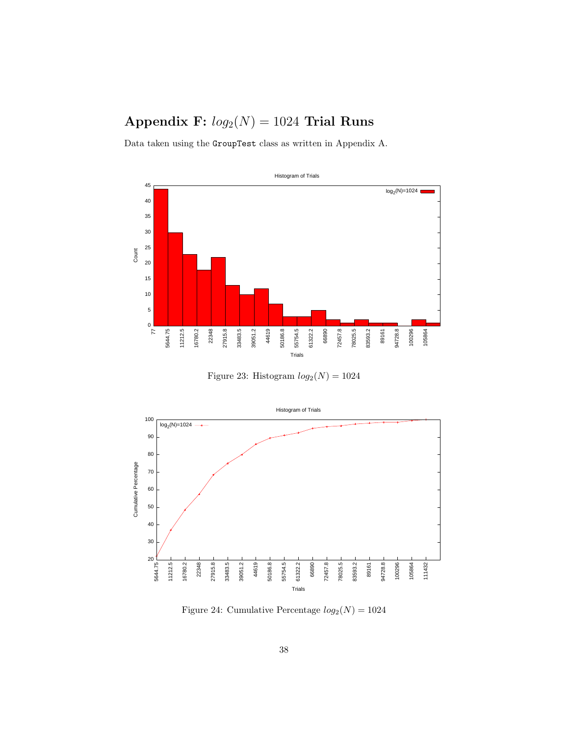## Appendix F:  $log_2(N) = 1024$  Trial Runs



<span id="page-39-0"></span>Figure 23: Histogram  $log_2(N) = 1024$ 



<span id="page-39-1"></span>Figure 24: Cumulative Percentage  $log_2(N) = 1024$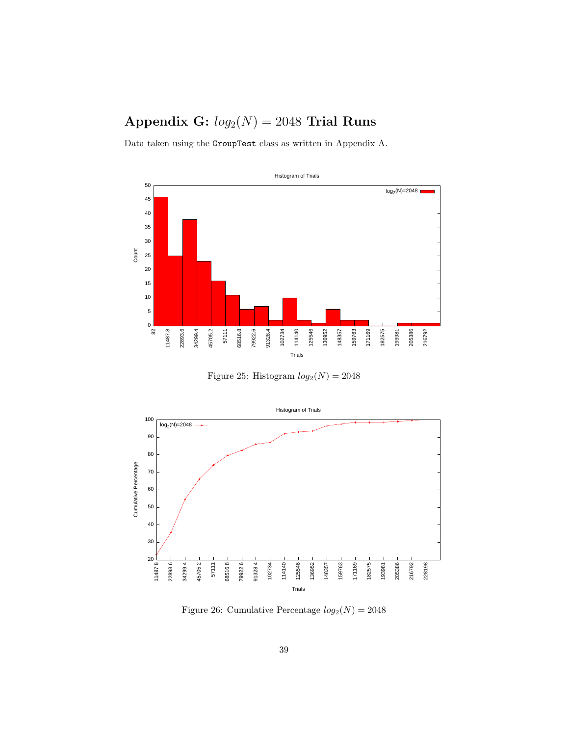## Appendix G:  $log_2(N) = 2048$  Trial Runs



<span id="page-40-0"></span>Figure 25: Histogram  $log_2(N) = 2048$ 



<span id="page-40-1"></span>Figure 26: Cumulative Percentage  $log_2(N) = 2048$